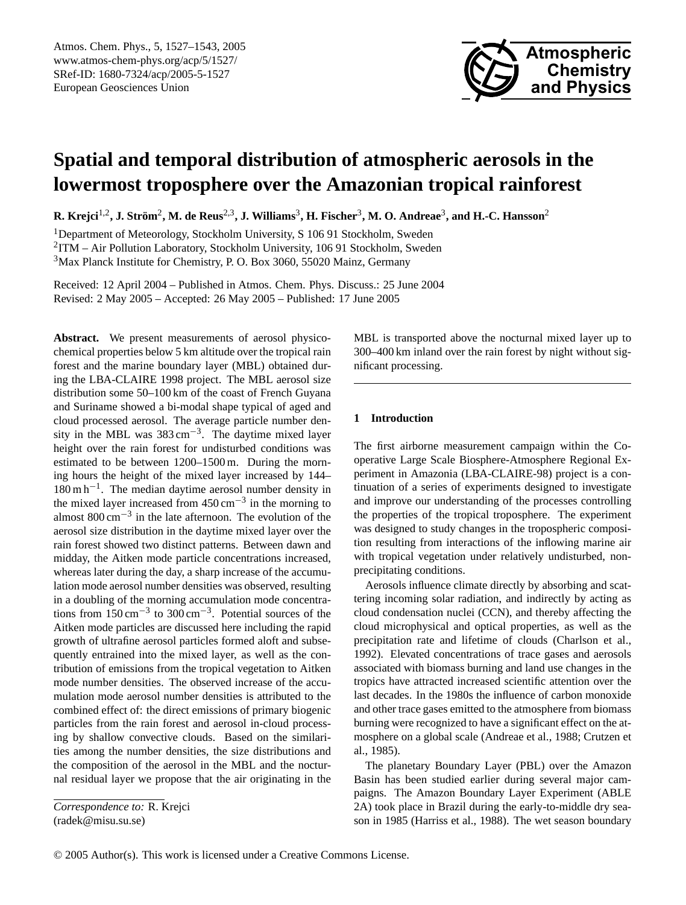

# **Spatial and temporal distribution of atmospheric aerosols in the lowermost troposphere over the Amazonian tropical rainforest**

 $R$ . Krejci<sup>1,2</sup>, J. Ström<sup>2</sup>, M. de Reus<sup>2,3</sup>, J. Williams<sup>3</sup>, H. Fischer<sup>3</sup>, M. O. Andreae<sup>3</sup>, and H.-C. Hansson<sup>2</sup>

<sup>1</sup>Department of Meteorology, Stockholm University, S 106 91 Stockholm, Sweden 2 ITM – Air Pollution Laboratory, Stockholm University, 106 91 Stockholm, Sweden <sup>3</sup>Max Planck Institute for Chemistry, P. O. Box 3060, 55020 Mainz, Germany

Received: 12 April 2004 – Published in Atmos. Chem. Phys. Discuss.: 25 June 2004 Revised: 2 May 2005 – Accepted: 26 May 2005 – Published: 17 June 2005

**Abstract.** We present measurements of aerosol physicochemical properties below 5 km altitude over the tropical rain forest and the marine boundary layer (MBL) obtained during the LBA-CLAIRE 1998 project. The MBL aerosol size distribution some 50–100 km of the coast of French Guyana and Suriname showed a bi-modal shape typical of aged and cloud processed aerosol. The average particle number density in the MBL was  $383 \text{ cm}^{-3}$ . The daytime mixed layer height over the rain forest for undisturbed conditions was estimated to be between 1200–1500 m. During the morning hours the height of the mixed layer increased by 144– 180 m h−<sup>1</sup> . The median daytime aerosol number density in the mixed layer increased from 450 cm−<sup>3</sup> in the morning to almost 800 cm−<sup>3</sup> in the late afternoon. The evolution of the aerosol size distribution in the daytime mixed layer over the rain forest showed two distinct patterns. Between dawn and midday, the Aitken mode particle concentrations increased, whereas later during the day, a sharp increase of the accumulation mode aerosol number densities was observed, resulting in a doubling of the morning accumulation mode concentrations from  $150 \text{ cm}^{-3}$  to  $300 \text{ cm}^{-3}$ . Potential sources of the Aitken mode particles are discussed here including the rapid growth of ultrafine aerosol particles formed aloft and subsequently entrained into the mixed layer, as well as the contribution of emissions from the tropical vegetation to Aitken mode number densities. The observed increase of the accumulation mode aerosol number densities is attributed to the combined effect of: the direct emissions of primary biogenic particles from the rain forest and aerosol in-cloud processing by shallow convective clouds. Based on the similarities among the number densities, the size distributions and the composition of the aerosol in the MBL and the nocturnal residual layer we propose that the air originating in the

<span id="page-0-0"></span>*Correspondence to:* R. Krejci (radek@misu.su.se)

MBL is transported above the nocturnal mixed layer up to 300–400 km inland over the rain forest by night without significant processing.

# **1 Introduction**

The first airborne measurement campaign within the Cooperative Large Scale Biosphere-Atmosphere Regional Experiment in Amazonia (LBA-CLAIRE-98) project is a continuation of a series of experiments designed to investigate and improve our understanding of the processes controlling the properties of the tropical troposphere. The experiment was designed to study changes in the tropospheric composition resulting from interactions of the inflowing marine air with tropical vegetation under relatively undisturbed, nonprecipitating conditions.

Aerosols influence climate directly by absorbing and scattering incoming solar radiation, and indirectly by acting as cloud condensation nuclei (CCN), and thereby affecting the cloud microphysical and optical properties, as well as the precipitation rate and lifetime of clouds (Charlson et al., 1992). Elevated concentrations of trace gases and aerosols associated with biomass burning and land use changes in the tropics have attracted increased scientific attention over the last decades. In the 1980s the influence of carbon monoxide and other trace gases emitted to the atmosphere from biomass burning were recognized to have a significant effect on the atmosphere on a global scale (Andreae et al., 1988; Crutzen et al., 1985).

The planetary Boundary Layer (PBL) over the Amazon Basin has been studied earlier during several major campaigns. The Amazon Boundary Layer Experiment (ABLE 2A) took place in Brazil during the early-to-middle dry season in 1985 (Harriss et al., 1988). The wet season boundary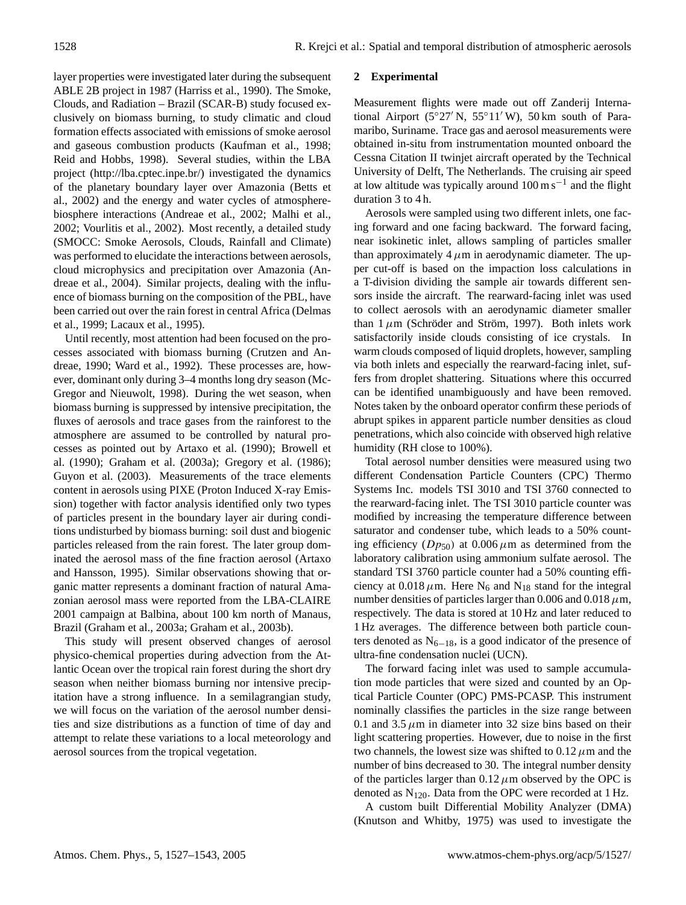layer properties were investigated later during the subsequent ABLE 2B project in 1987 (Harriss et al., 1990). The Smoke, Clouds, and Radiation – Brazil (SCAR-B) study focused exclusively on biomass burning, to study climatic and cloud formation effects associated with emissions of smoke aerosol and gaseous combustion products (Kaufman et al., 1998; Reid and Hobbs, 1998). Several studies, within the LBA project [\(http://lba.cptec.inpe.br/\)](http://lba.cptec.inpe.br/) investigated the dynamics of the planetary boundary layer over Amazonia (Betts et al., 2002) and the energy and water cycles of atmospherebiosphere interactions (Andreae et al., 2002; Malhi et al., 2002; Vourlitis et al., 2002). Most recently, a detailed study (SMOCC: Smoke Aerosols, Clouds, Rainfall and Climate) was performed to elucidate the interactions between aerosols, cloud microphysics and precipitation over Amazonia (Andreae et al., 2004). Similar projects, dealing with the influence of biomass burning on the composition of the PBL, have been carried out over the rain forest in central Africa (Delmas et al., 1999; Lacaux et al., 1995).

Until recently, most attention had been focused on the processes associated with biomass burning (Crutzen and Andreae, 1990; Ward et al., 1992). These processes are, however, dominant only during 3–4 months long dry season (Mc-Gregor and Nieuwolt, 1998). During the wet season, when biomass burning is suppressed by intensive precipitation, the fluxes of aerosols and trace gases from the rainforest to the atmosphere are assumed to be controlled by natural processes as pointed out by Artaxo et al. (1990); Browell et al. (1990); Graham et al. (2003a); Gregory et al. (1986); Guyon et al. (2003). Measurements of the trace elements content in aerosols using PIXE (Proton Induced X-ray Emission) together with factor analysis identified only two types of particles present in the boundary layer air during conditions undisturbed by biomass burning: soil dust and biogenic particles released from the rain forest. The later group dominated the aerosol mass of the fine fraction aerosol (Artaxo and Hansson, 1995). Similar observations showing that organic matter represents a dominant fraction of natural Amazonian aerosol mass were reported from the LBA-CLAIRE 2001 campaign at Balbina, about 100 km north of Manaus, Brazil (Graham et al., 2003a; Graham et al., 2003b).

This study will present observed changes of aerosol physico-chemical properties during advection from the Atlantic Ocean over the tropical rain forest during the short dry season when neither biomass burning nor intensive precipitation have a strong influence. In a semilagrangian study, we will focus on the variation of the aerosol number densities and size distributions as a function of time of day and attempt to relate these variations to a local meteorology and aerosol sources from the tropical vegetation.

## **2 Experimental**

Measurement flights were made out off Zanderij International Airport ( $5°27'$  N,  $55°11'$  W), 50 km south of Paramaribo, Suriname. Trace gas and aerosol measurements were obtained in-situ from instrumentation mounted onboard the Cessna Citation II twinjet aircraft operated by the Technical University of Delft, The Netherlands. The cruising air speed at low altitude was typically around  $100 \text{ m s}^{-1}$  and the flight duration 3 to 4 h.

Aerosols were sampled using two different inlets, one facing forward and one facing backward. The forward facing, near isokinetic inlet, allows sampling of particles smaller than approximately  $4 \mu m$  in aerodynamic diameter. The upper cut-off is based on the impaction loss calculations in a T-division dividing the sample air towards different sensors inside the aircraft. The rearward-facing inlet was used to collect aerosols with an aerodynamic diameter smaller than  $1 \mu m$  (Schröder and Ström, 1997). Both inlets work satisfactorily inside clouds consisting of ice crystals. In warm clouds composed of liquid droplets, however, sampling via both inlets and especially the rearward-facing inlet, suffers from droplet shattering. Situations where this occurred can be identified unambiguously and have been removed. Notes taken by the onboard operator confirm these periods of abrupt spikes in apparent particle number densities as cloud penetrations, which also coincide with observed high relative humidity (RH close to 100%).

Total aerosol number densities were measured using two different Condensation Particle Counters (CPC) Thermo Systems Inc. models TSI 3010 and TSI 3760 connected to the rearward-facing inlet. The TSI 3010 particle counter was modified by increasing the temperature difference between saturator and condenser tube, which leads to a 50% counting efficiency  $(Dp_{50})$  at 0.006  $\mu$ m as determined from the laboratory calibration using ammonium sulfate aerosol. The standard TSI 3760 particle counter had a 50% counting efficiency at 0.018  $\mu$ m. Here N<sub>6</sub> and N<sub>18</sub> stand for the integral number densities of particles larger than 0.006 and 0.018  $\mu$ m, respectively. The data is stored at 10 Hz and later reduced to 1 Hz averages. The difference between both particle counters denoted as  $N_{6-18}$ , is a good indicator of the presence of ultra-fine condensation nuclei (UCN).

The forward facing inlet was used to sample accumulation mode particles that were sized and counted by an Optical Particle Counter (OPC) PMS-PCASP. This instrument nominally classifies the particles in the size range between 0.1 and 3.5  $\mu$ m in diameter into 32 size bins based on their light scattering properties. However, due to noise in the first two channels, the lowest size was shifted to  $0.12 \mu$ m and the number of bins decreased to 30. The integral number density of the particles larger than  $0.12 \mu$ m observed by the OPC is denoted as  $N_{120}$ . Data from the OPC were recorded at 1 Hz.

A custom built Differential Mobility Analyzer (DMA) (Knutson and Whitby, 1975) was used to investigate the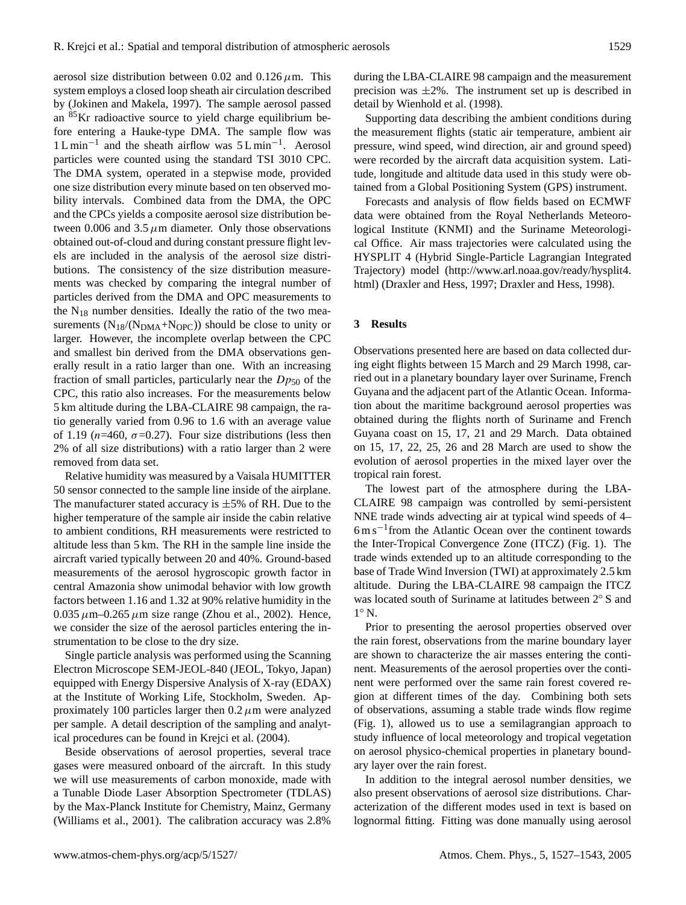aerosol size distribution between 0.02 and 0.126  $\mu$ m. This system employs a closed loop sheath air circulation described by (Jokinen and Makela, 1997). The sample aerosol passed an <sup>85</sup>Kr radioactive source to yield charge equilibrium before entering a Hauke-type DMA. The sample flow was 1 L min−<sup>1</sup> and the sheath airflow was 5 L min−<sup>1</sup> . Aerosol particles were counted using the standard TSI 3010 CPC. The DMA system, operated in a stepwise mode, provided one size distribution every minute based on ten observed mobility intervals. Combined data from the DMA, the OPC and the CPCs yields a composite aerosol size distribution between 0.006 and 3.5  $\mu$ m diameter. Only those observations obtained out-of-cloud and during constant pressure flight levels are included in the analysis of the aerosol size distributions. The consistency of the size distribution measurements was checked by comparing the integral number of particles derived from the DMA and OPC measurements to the  $N_{18}$  number densities. Ideally the ratio of the two measurements  $(N_{18}/(N_{\text{DMA}}+N_{\text{OPC}}))$  should be close to unity or larger. However, the incomplete overlap between the CPC and smallest bin derived from the DMA observations generally result in a ratio larger than one. With an increasing fraction of small particles, particularly near the  $Dp_{50}$  of the CPC, this ratio also increases. For the measurements below 5 km altitude during the LBA-CLAIRE 98 campaign, the ratio generally varied from 0.96 to 1.6 with an average value of 1.19 ( $n=460$ ,  $\sigma=0.27$ ). Four size distributions (less then 2% of all size distributions) with a ratio larger than 2 were removed from data set.

Relative humidity was measured by a Vaisala HUMITTER 50 sensor connected to the sample line inside of the airplane. The manufacturer stated accuracy is  $\pm$ 5% of RH. Due to the higher temperature of the sample air inside the cabin relative to ambient conditions, RH measurements were restricted to altitude less than 5 km. The RH in the sample line inside the aircraft varied typically between 20 and 40%. Ground-based measurements of the aerosol hygroscopic growth factor in central Amazonia show unimodal behavior with low growth factors between 1.16 and 1.32 at 90% relative humidity in the  $0.035 \mu$ m–0.265  $\mu$ m size range (Zhou et al., 2002). Hence, we consider the size of the aerosol particles entering the instrumentation to be close to the dry size.

Single particle analysis was performed using the Scanning Electron Microscope SEM-JEOL-840 (JEOL, Tokyo, Japan) equipped with Energy Dispersive Analysis of X-ray (EDAX) at the Institute of Working Life, Stockholm, Sweden. Approximately 100 particles larger then  $0.2 \mu$ m were analyzed per sample. A detail description of the sampling and analytical procedures can be found in Krejci et al. (2004).

Beside observations of aerosol properties, several trace gases were measured onboard of the aircraft. In this study we will use measurements of carbon monoxide, made with a Tunable Diode Laser Absorption Spectrometer (TDLAS) by the Max-Planck Institute for Chemistry, Mainz, Germany (Williams et al., 2001). The calibration accuracy was 2.8%

during the LBA-CLAIRE 98 campaign and the measurement precision was  $\pm 2\%$ . The instrument set up is described in detail by Wienhold et al. (1998).

Supporting data describing the ambient conditions during the measurement flights (static air temperature, ambient air pressure, wind speed, wind direction, air and ground speed) were recorded by the aircraft data acquisition system. Latitude, longitude and altitude data used in this study were obtained from a Global Positioning System (GPS) instrument.

Forecasts and analysis of flow fields based on ECMWF data were obtained from the Royal Netherlands Meteorological Institute (KNMI) and the Suriname Meteorological Office. Air mass trajectories were calculated using the HYSPLIT 4 (Hybrid Single-Particle Lagrangian Integrated Trajectory) model [\(http://www.arl.noaa.gov/ready/hysplit4.](http://www.arl.noaa.gov/ready/hysplit4.html) [html\)](http://www.arl.noaa.gov/ready/hysplit4.html) (Draxler and Hess, 1997; Draxler and Hess, 1998).

## **3 Results**

Observations presented here are based on data collected during eight flights between 15 March and 29 March 1998, carried out in a planetary boundary layer over Suriname, French Guyana and the adjacent part of the Atlantic Ocean. Information about the maritime background aerosol properties was obtained during the flights north of Suriname and French Guyana coast on 15, 17, 21 and 29 March. Data obtained on 15, 17, 22, 25, 26 and 28 March are used to show the evolution of aerosol properties in the mixed layer over the tropical rain forest.

The lowest part of the atmosphere during the LBA-CLAIRE 98 campaign was controlled by semi-persistent NNE trade winds advecting air at typical wind speeds of 4– 6 m s−<sup>1</sup> from the Atlantic Ocean over the continent towards the Inter-Tropical Convergence Zone (ITCZ) (Fig. 1). The trade winds extended up to an altitude corresponding to the base of Trade Wind Inversion (TWI) at approximately 2.5 km altitude. During the LBA-CLAIRE 98 campaign the ITCZ was located south of Suriname at latitudes between 2◦ S and  $1^\circ$  N.

Prior to presenting the aerosol properties observed over the rain forest, observations from the marine boundary layer are shown to characterize the air masses entering the continent. Measurements of the aerosol properties over the continent were performed over the same rain forest covered region at different times of the day. Combining both sets of observations, assuming a stable trade winds flow regime (Fig. 1), allowed us to use a semilagrangian approach to study influence of local meteorology and tropical vegetation on aerosol physico-chemical properties in planetary boundary layer over the rain forest.

In addition to the integral aerosol number densities, we also present observations of aerosol size distributions. Characterization of the different modes used in text is based on lognormal fitting. Fitting was done manually using aerosol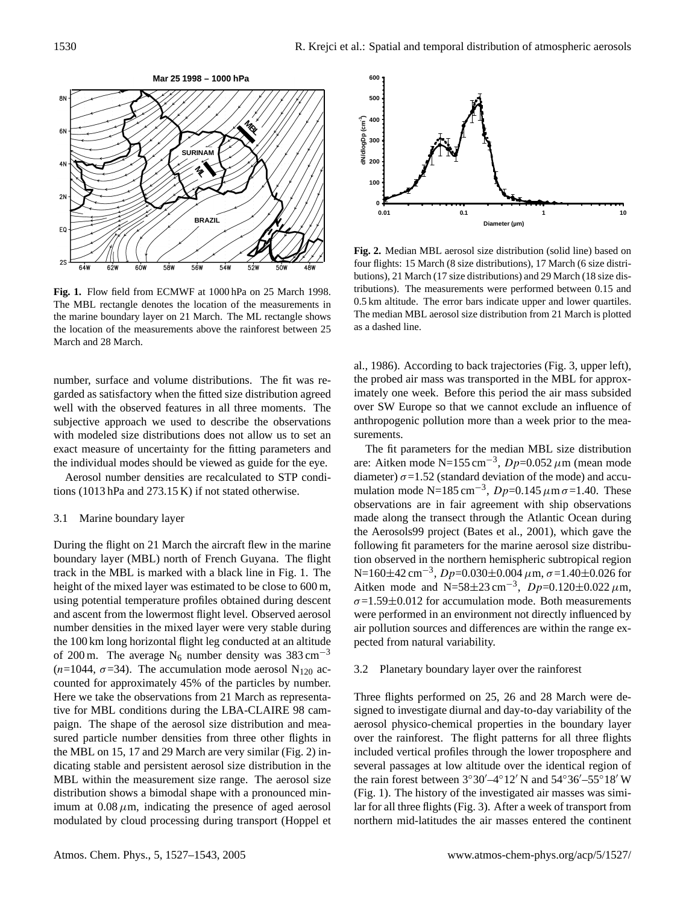

The MBL rectangle denotes the location of the measurements in  $\frac{0}{n}$ the marine boundary layer on 21 March. The ML rectangle shows <sup>11</sup> the location of the measurements above the rainforest between 25 **Fig. 1.** Flow field from ECMWF at 1000 hPa on 25 March 1998. March and 28 March.

number, surface and volume distributions. The fit was regarded as satisfactory when the fitted size distribution agreed well with the observed features in all three moments. The subjective approach we used to describe the observations with modeled size distributions does not allow us to set an exact measure of uncertainty for the fitting parameters and the individual modes should be viewed as guide for the eye.

Aerosol number densities are recalculated to STP conditions (1013 hPa and 273.15 K) if not stated otherwise.

#### 3.1 Marine boundary layer

During the flight on 21 March the aircraft flew in the marine boundary layer (MBL) north of French Guyana. The flight track in the MBL is marked with a black line in Fig. 1. The height of the mixed layer was estimated to be close to 600 m, using potential temperature profiles obtained during descent and ascent from the lowermost flight level. Observed aerosol number densities in the mixed layer were very stable during the 100 km long horizontal flight leg conducted at an altitude of 200 m. The average N<sub>6</sub> number density was 383 cm<sup>-3</sup>  $(n=1044, \sigma=34)$ . The accumulation mode aerosol N<sub>120</sub> accounted for approximately 45% of the particles by number. Here we take the observations from 21 March as representative for MBL conditions during the LBA-CLAIRE 98 campaign. The shape of the aerosol size distribution and measured particle number densities from three other flights in the MBL on 15, 17 and 29 March are very similar (Fig. 2) indicating stable and persistent aerosol size distribution in the MBL within the measurement size range. The aerosol size distribution shows a bimodal shape with a pronounced minimum at  $0.08 \mu$ m, indicating the presence of aged aerosol modulated by cloud processing during transport (Hoppel et



Fig. 2. Median MBL aerosol size distribution (solid line) based on four flights: 15 March (8 size distributions), 17 March (6 size distributions), 21 March (17 size distributions) and 29 March (18 size distributions). The measurements were performed between 0.15 and 0.5 km altitude. The error bars indicate upper and lower quartiles. The median MBL aerosol size distribution from 21 March is plotted as a dashed line.

al., 1986). According to back trajectories (Fig. 3, upper left), the probed air mass was transported in the MBL for approximately one week. Before this period the air mass subsided over SW Europe so that we cannot exclude an influence of anthropogenic pollution more than a week prior to the measurements.

made along the transect through the Atlantic Ocean during The fit parameters for the median MBL size distribution are: Aitken mode N=155 cm<sup>-3</sup>,  $Dp=0.052 \mu$ m (mean mode diameter)  $\sigma$ =1.52 (standard deviation of the mode) and accumulation mode N=185 cm<sup>-3</sup>,  $Dp=0.145 \mu$ m  $\sigma$ =1.40. These observations are in fair agreement with ship observations the Aerosols99 project (Bates et al., 2001), which gave the following fit parameters for the marine aerosol size distribution observed in the northern hemispheric subtropical region N=160±42 cm<sup>-3</sup>, Dp=0.030±0.004 μm, σ=1.40±0.026 for Aitken mode and N=58±23 cm<sup>-3</sup>,  $Dp=0.120\pm0.022 \mu$ m,  $\sigma$ =1.59 $\pm$ 0.012 for accumulation mode. Both measurements were performed in an environment not directly influenced by air pollution sources and differences are within the range expected from natural variability.

## 3.2 Planetary boundary layer over the rainforest

Three flights performed on 25, 26 and 28 March were designed to investigate diurnal and day-to-day variability of the aerosol physico-chemical properties in the boundary layer over the rainforest. The flight patterns for all three flights included vertical profiles through the lower troposphere and several passages at low altitude over the identical region of the rain forest between  $3°30' - 4°12'$  N and  $54°36' - 55°18'$  W (Fig. 1). The history of the investigated air masses was similar for all three flights (Fig. 3). After a week of transport from northern mid-latitudes the air masses entered the continent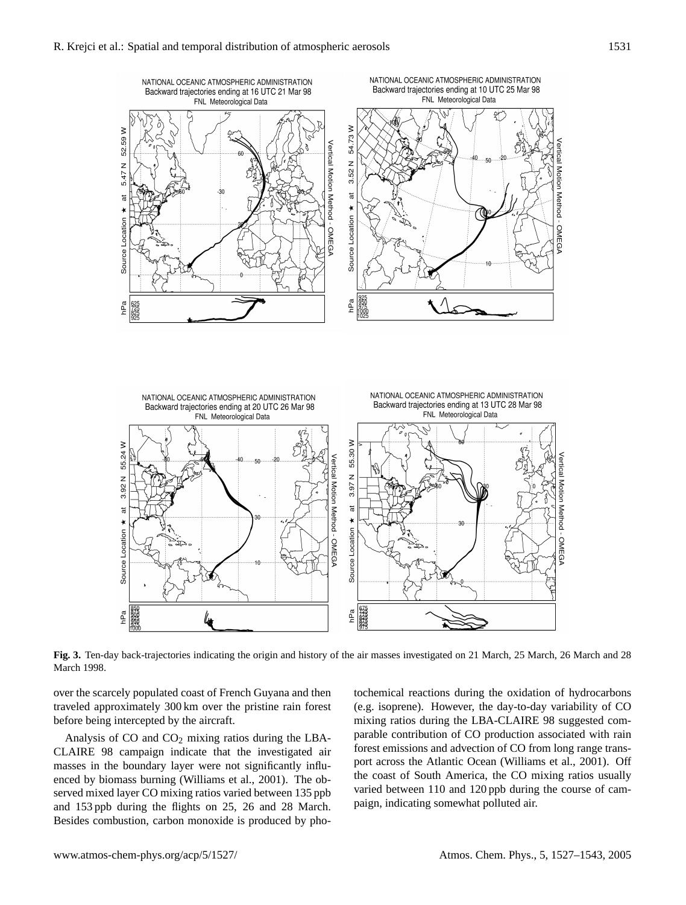

**Fig. 3.** Ten-day back-trajectories indicating the origin and history of the air masses investigated on 21 March, 25 March, 26 March and 28 March 1998.

over the scarcely populated coast of French Guyana and then traveled approximately 300 km over the pristine rain forest before being intercepted by the aircraft.

Analysis of CO and  $CO_2$  mixing ratios during the LBA-<br>parable contribution CLAIRE 98 campaign indicate that the investigated air masses in the boundary layer were not significantly influenced by biomass burning (Williams et al., 2001). The observed mixed layer CO mixing ratios varied between 135 ppb and 153 ppb during the flights on 25, 26 and 28 March. Besides combustion, carbon monoxide is produced by pho-

Figure 3. Ten-day back-trajectories indicates the aircraft. The aircraft mixing ratios during the LBA-CLAIRE 98 suggested comtochemical reactions during the oxidation of hydrocarbons (e.g. isoprene). However, the day-to-day variability of CO parable contribution of CO production associated with rain forest emissions and advection of CO from long range transport across the Atlantic Ocean (Williams et al., 2001). Off the coast of South America, the CO mixing ratios usually varied between 110 and 120 ppb during the course of campaign, indicating somewhat polluted air.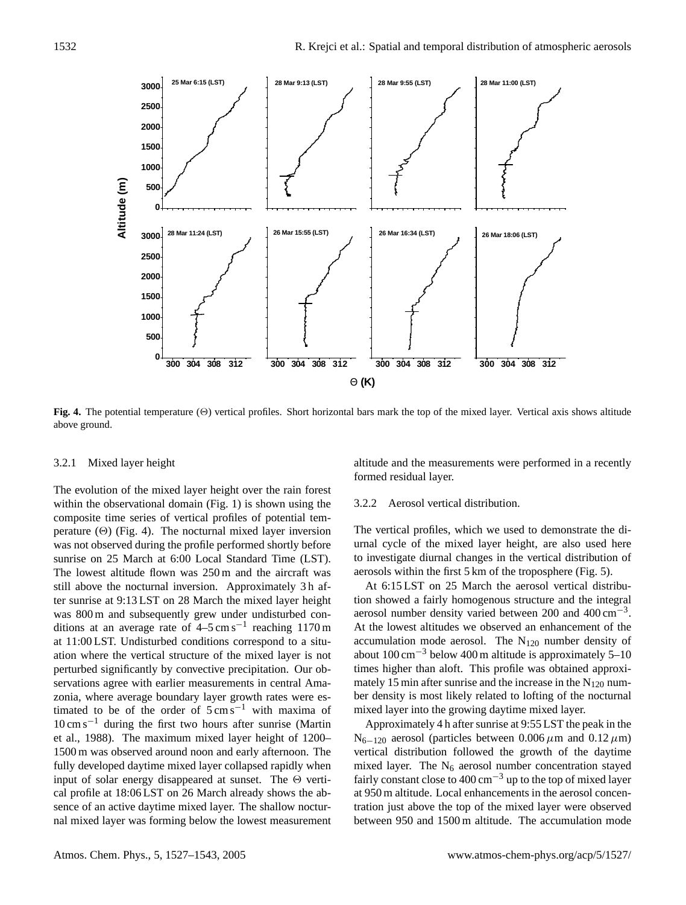

Fig. 4. The potential temperature ( $\Theta$ ) vertical profiles. Short horizontal bars mark the top of the mixed layer. Vertical axis shows altitude above ground.

#### 3.2.1 Mixed layer height

The evolution of the mixed layer height over the rain forest within the observational domain (Fig. 1) is shown using the composite time series of vertical profiles of potential temperature  $(\Theta)$  (Fig. 4). The nocturnal mixed layer inversion was not observed during the profile performed shortly before sunrise on 25 March at 6:00 Local Standard Time (LST). The lowest altitude flown was 250 m and the aircraft was still above the nocturnal inversion. Approximately 3 h after sunrise at 9:13 LST on 28 March the mixed layer height was 800 m and subsequently grew under undisturbed conditions at an average rate of  $4-5 \text{ cm s}^{-1}$  reaching 1170 m at 11:00 LST. Undisturbed conditions correspond to a situation where the vertical structure of the mixed layer is not perturbed significantly by convective precipitation. Our observations agree with earlier measurements in central Amazonia, where average boundary layer growth rates were estimated to be of the order of  $5 \text{ cm s}^{-1}$  with maxima of  $10 \text{ cm s}^{-1}$  during the first two hours after sunrise (Martin et al., 1988). The maximum mixed layer height of 1200– 1500 m was observed around noon and early afternoon. The fully developed daytime mixed layer collapsed rapidly when input of solar energy disappeared at sunset. The  $\Theta$  vertical profile at 18:06 LST on 26 March already shows the absence of an active daytime mixed layer. The shallow nocturnal mixed layer was forming below the lowest measurement

Mixed layer height **Figure 4.** The potential profiles and the measurements were performed in a recently formed residual layer.

# 3.2.2 Aerosol vertical distribution.

The vertical profiles, which we used to demonstrate the diurnal cycle of the mixed layer height, are also used here to investigate diurnal changes in the vertical distribution of aerosols within the first 5 km of the troposphere (Fig. 5).

At 6:15 LST on 25 March the aerosol vertical distribution showed a fairly homogenous structure and the integral aerosol number density varied between 200 and 400 cm−<sup>3</sup> . At the lowest altitudes we observed an enhancement of the accumulation mode aerosol. The  $N_{120}$  number density of about  $100 \text{ cm}^{-3}$  below 400 m altitude is approximately 5–10 times higher than aloft. This profile was obtained approximately 15 min after sunrise and the increase in the  $N_{120}$  number density is most likely related to lofting of the nocturnal mixed layer into the growing daytime mixed layer.

between 950 and 1500 m altitude. The accumulation mode Approximately 4 h after sunrise at 9:55 LST the peak in the  $N_{6-120}$  aerosol (particles between 0.006  $\mu$ m and 0.12  $\mu$ m) vertical distribution followed the growth of the daytime mixed layer. The  $N_6$  aerosol number concentration stayed fairly constant close to  $400 \text{ cm}^{-3}$  up to the top of mixed layer at 950 m altitude. Local enhancements in the aerosol concentration just above the top of the mixed layer were observed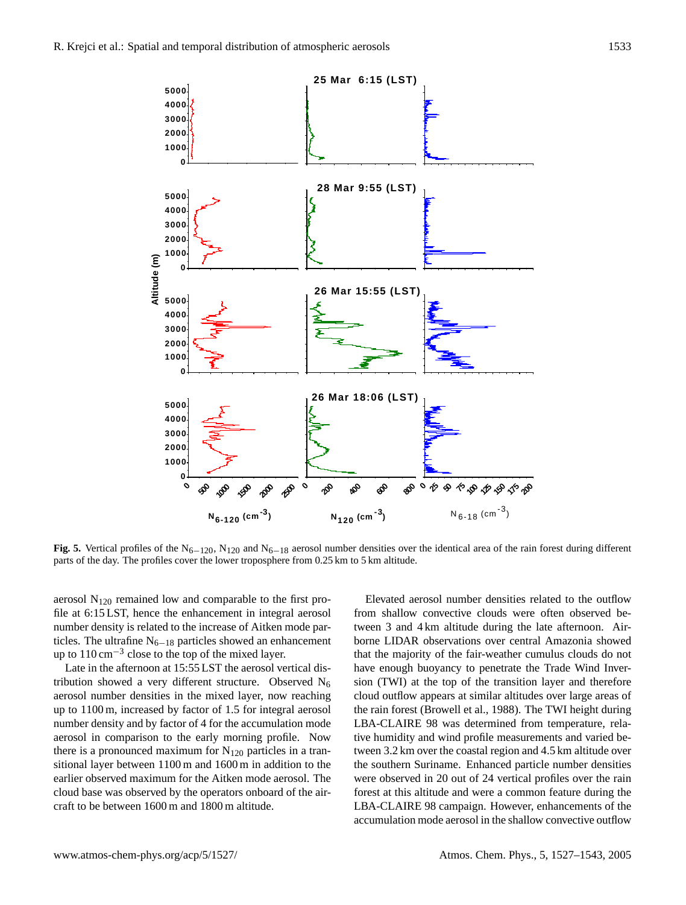

**Fig. 5.** Vertical profiles of the N<sub>6−120</sub>, N<sub>120</sub> and N<sub>6−18</sub> aerosol number densities over the identical area of the rain forest during different parts of the day. The profiles cover the lower troposphere from 0.25 km to 5 km altitude.

aerosol  $N_{120}$  remained low and comparable to the first pro-<br>Elevated aerosol number densities relate file at 6:15 LST, hence the enhancement in integral aerosol number density is related to the increase of Aitken mode particles. The ultrafine  $N_{6-18}$  particles showed an enhancement up to  $110 \text{ cm}^{-3}$  close to the top of the mixed layer.

Late in the afternoon at 15:55 LST the aerosol vertical distribution showed a very different structure. Observed  $N_6$ aerosol number densities in the mixed layer, now reaching up to 1100 m, increased by factor of 1.5 for integral aerosol number density and by factor of 4 for the accumulation mode aerosol in comparison to the early morning profile. Now there is a pronounced maximum for  $N_{120}$  particles in a transitional layer between 1100 m and 1600 m in addition to the earlier observed maximum for the Aitken mode aerosol. The cloud base was observed by the operators onboard of the aircraft to be between 1600 m and 1800 m altitude.

34 cloud outflow appears at similar altitudes over large areas of Elevated aerosol number densities related to the outflow from shallow convective clouds were often observed between 3 and 4 km altitude during the late afternoon. Airborne LIDAR observations over central Amazonia showed that the majority of the fair-weather cumulus clouds do not have enough buoyancy to penetrate the Trade Wind Inversion (TWI) at the top of the transition layer and therefore the rain forest (Browell et al., 1988). The TWI height during LBA-CLAIRE 98 was determined from temperature, relative humidity and wind profile measurements and varied between 3.2 km over the coastal region and 4.5 km altitude over the southern Suriname. Enhanced particle number densities were observed in 20 out of 24 vertical profiles over the rain forest at this altitude and were a common feature during the LBA-CLAIRE 98 campaign. However, enhancements of the accumulation mode aerosol in the shallow convective outflow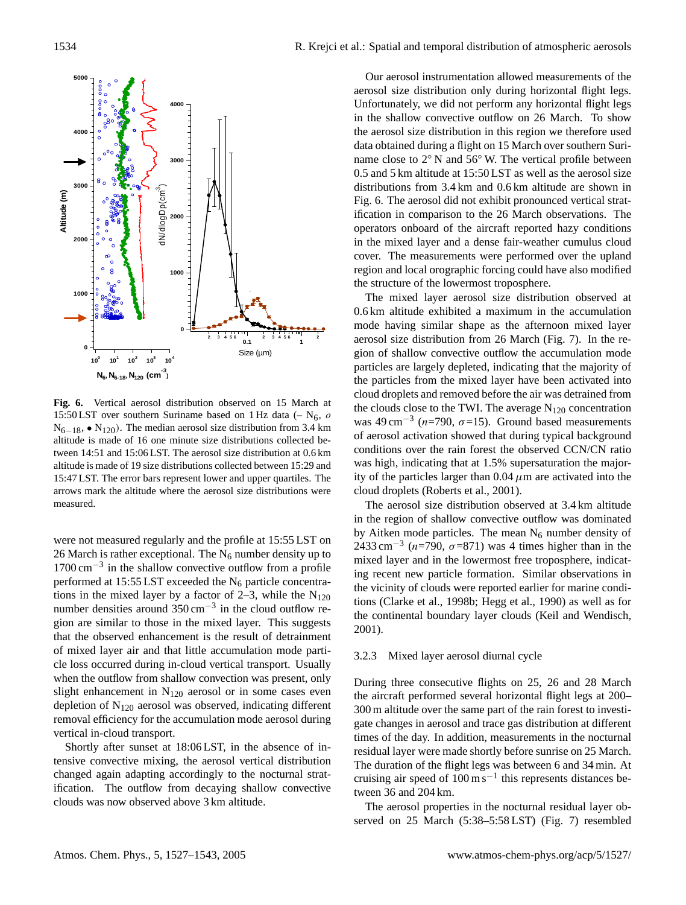

35 arrows mark the altitude where the aerosol size distributions were Fig. 6. Vertical aerosol distribution observed on 15 March at 15:50 LST over southern Suriname based on 1 Hz data (–  $N_6$ ,  $o$  $N<sub>6−18</sub>$ , • N<sub>120</sub>). The median aerosol size distribution from 3.4 km altitude is made of 16 one minute size distributions collected between 14:51 and 15:06 LST. The aerosol size distribution at 0.6 km altitude is made of 19 size distributions collected between 15:29 and 15:47 LST. The error bars represent lower and upper quartiles. The measured.

were not measured regularly and the profile at 15:55 LST on 26 March is rather exceptional. The  $N_6$  number density up to 1700 cm−<sup>3</sup> in the shallow convective outflow from a profile performed at 15:55 LST exceeded the  $N_6$  particle concentrations in the mixed layer by a factor of 2–3, while the  $N_{120}$ number densities around  $350 \text{ cm}^{-3}$  in the cloud outflow region are similar to those in the mixed layer. This suggests that the observed enhancement is the result of detrainment of mixed layer air and that little accumulation mode particle loss occurred during in-cloud vertical transport. Usually when the outflow from shallow convection was present, only slight enhancement in  $N_{120}$  aerosol or in some cases even depletion of N<sup>120</sup> aerosol was observed, indicating different removal efficiency for the accumulation mode aerosol during vertical in-cloud transport.

Shortly after sunset at 18:06 LST, in the absence of intensive convective mixing, the aerosol vertical distribution changed again adapting accordingly to the nocturnal stratification. The outflow from decaying shallow convective clouds was now observed above 3 km altitude.

Our aerosol instrumentation allowed measurements of the aerosol size distribution only during horizontal flight legs. Unfortunately, we did not perform any horizontal flight legs in the shallow convective outflow on 26 March. To show the aerosol size distribution in this region we therefore used data obtained during a flight on 15 March over southern Suriname close to 2<sup>°</sup> N and 56<sup>°</sup> W. The vertical profile between 0.5 and 5 km altitude at 15:50 LST as well as the aerosol size distributions from 3.4 km and 0.6 km altitude are shown in Fig. 6. The aerosol did not exhibit pronounced vertical stratification in comparison to the 26 March observations. The operators onboard of the aircraft reported hazy conditions in the mixed layer and a dense fair-weather cumulus cloud cover. The measurements were performed over the upland region and local orographic forcing could have also modified the structure of the lowermost troposphere.

The mixed layer aerosol size distribution observed at 0.6 km altitude exhibited a maximum in the accumulation mode having similar shape as the afternoon mixed layer aerosol size distribution from 26 March (Fig. 7). In the region of shallow convective outflow the accumulation mode particles are largely depleted, indicating that the majority of the particles from the mixed layer have been activated into cloud droplets and removed before the air was detrained from the clouds close to the TWI. The average  $N_{120}$  concentration was 49 cm<sup>-3</sup> (n=790,  $\sigma$ =15). Ground based measurements of aerosol activation showed that during typical background conditions over the rain forest the observed CCN/CN ratio was high, indicating that at 1.5% supersaturation the majority of the particles larger than  $0.04 \mu$ m are activated into the cloud droplets (Roberts et al., 2001).

The aerosol size distribution observed at 3.4 km altitude in the region of shallow convective outflow was dominated by Aitken mode particles. The mean  $N_6$  number density of 2433 cm<sup>-3</sup> (n=790,  $\sigma$ =871) was 4 times higher than in the mixed layer and in the lowermost free troposphere, indicating recent new particle formation. Similar observations in the vicinity of clouds were reported earlier for marine conditions (Clarke et al., 1998b; Hegg et al., 1990) as well as for the continental boundary layer clouds (Keil and Wendisch, 2001).

# 3.2.3 Mixed layer aerosol diurnal cycle

During three consecutive flights on 25, 26 and 28 March the aircraft performed several horizontal flight legs at 200– 300 m altitude over the same part of the rain forest to investigate changes in aerosol and trace gas distribution at different times of the day. In addition, measurements in the nocturnal residual layer were made shortly before sunrise on 25 March. The duration of the flight legs was between 6 and 34 min. At cruising air speed of  $100 \text{ m s}^{-1}$  this represents distances between 36 and 204 km.

The aerosol properties in the nocturnal residual layer observed on 25 March (5:38–5:58 LST) (Fig. 7) resembled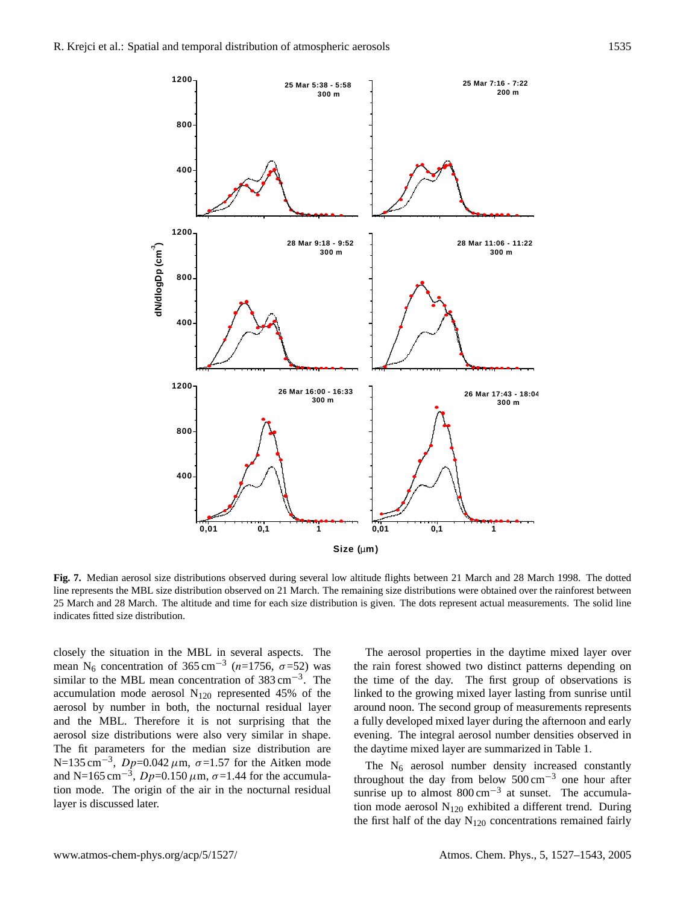

25 March and 28 March. The altitude and time for each size distribution is given. The dots represent actual measurements. The solid line 22 distribution. **Fig. 7.** Median aerosol size distributions observed during several low altitude flights between 21 March and 28 March 1998. The dotted line represents the MBL size distribution observed on 21 March. The remaining size distributions were obtained over the rainforest between indicates fitted size distribution.

mean N<sub>6</sub> concentration of 365 cm<sup>-3</sup> (n=1756,  $\sigma$ =52) was the rain forest showed two distinct patterns depending c similar to the MBL mean concentration of 383 cm<sup>-3</sup>. The the time of the concentration of 383 cm<sup>-3</sup>. closely the situation in the MBL in several aspects. The accumulation mode aerosol  $N_{120}$  represented 45% of the aerosol by number in both, the nocturnal residual layer and the MBL. Therefore it is not surprising that the aerosol size distributions were also very similar in shape. The fit parameters for the median size distribution are N=135 cm<sup>-3</sup>,  $Dp$ =0.042  $\mu$ m,  $\sigma$ =1.57 for the Aitken mode and N=165 cm<sup>-3</sup>,  $Dp$ =0.150  $\mu$ m,  $\sigma$ =1.44 for the accumulation mode. The origin of the air in the nocturnal residual layer is discussed later.

The aerosol properties in the daytime mixed layer over the rain forest showed two distinct patterns depending on the time of the day. The first group of observations is linked to the growing mixed layer lasting from sunrise until around noon. The second group of measurements represents a fully developed mixed layer during the afternoon and early evening. The integral aerosol number densities observed in the daytime mixed layer are summarized in Table 1.

sunrise up to almost  $800 \text{ cm}^{-3}$  at sunset. The accumula-The  $N_6$  aerosol number density increased constantly throughout the day from below  $500 \text{ cm}^{-3}$  one hour after tion mode aerosol  $N_{120}$  exhibited a different trend. During the first half of the day  $N_{120}$  concentrations remained fairly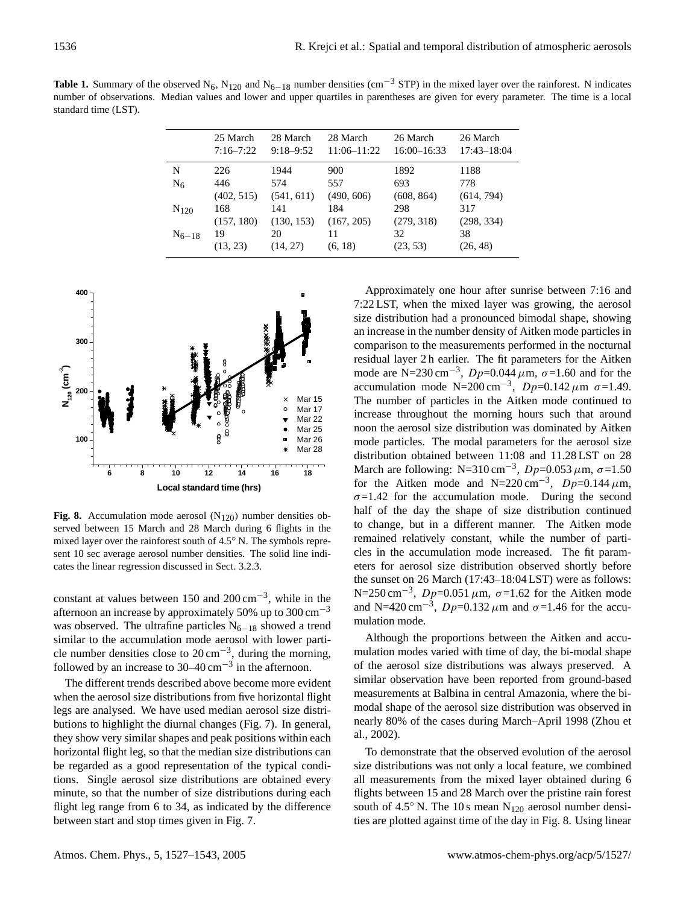**Table 1.** Summary of the observed N<sub>6</sub>, N<sub>120</sub> and N<sub>6−18</sub> number densities (cm<sup>−3</sup> STP) in the mixed layer over the rainforest. N indicates number of observations. Median values and lower and upper quartiles in parentheses are given for every parameter. The time is a local standard time (LST).

|            | 25 March<br>$7:16 - 7:22$ | 28 March<br>$9:18 - 9:52$ | 28 March<br>11:06-11:22 | 26 March<br>16:00-16:33 | 26 March<br>17:43-18:04 |
|------------|---------------------------|---------------------------|-------------------------|-------------------------|-------------------------|
| N          | 226                       | 1944                      | 900                     | 1892                    | 1188                    |
| $N_6$      | 446                       | 574                       | 557                     | 693                     | 778                     |
|            | (402, 515)                | (541, 611)                | (490, 606)              | (608, 864)              | (614, 794)              |
| $N_{120}$  | 168                       | 141                       | 184                     | 298                     | 317                     |
|            | (157, 180)                | (130, 153)                | (167, 205)              | (279, 318)              | (298, 334)              |
| $N_{6-18}$ | 19                        | 20                        | 11                      | 32                      | 38                      |
|            | (13, 23)                  | (14, 27)                  | (6, 18)                 | (23, 53)                | (26, 48)                |
|            |                           |                           |                         |                         |                         |



mixed layer over the rainforest south of  $4.5^{\circ}$  N. The symbols represent 10 sec average aerosol number densities. The solid line indi-<br>clea cates the linear regression discussed in Sect. 3.2.3. eter **Fig. 8.** Accumulation mode aerosol (N<sub>120</sub>) number densities observed between 15 March and 28 March during 6 flights in the mixed layer over the rainforest south of 4.5° N. The symbols represent 10 sec average aerosol nu served between 15 March and 28 March during 6 flights in the mixed layer over the rainforest south of 4.5◦ N. The symbols repre-

constant at values between 150 and  $200 \text{ cm}^{-3}$ , while in the afternoon an increase by approximately 50% up to 300 cm<sup>-3</sup> was observed. The ultrafine particles  $N_{6-18}$  showed a trend similar to the accumulation mode aerosol with lower particle number densities close to  $20 \text{ cm}^{-3}$ , during the morning, followed by an increase to  $30-40 \text{ cm}^{-3}$  in the afternoon.

The different trends described above become more evident when the aerosol size distributions from five horizontal flight legs are analysed. We have used median aerosol size distributions to highlight the diurnal changes (Fig. 7). In general, they show very similar shapes and peak positions within each horizontal flight leg, so that the median size distributions can be regarded as a good representation of the typical conditions. Single aerosol size distributions are obtained every minute, so that the number of size distributions during each flight leg range from 6 to 34, as indicated by the difference between start and stop times given in Fig. 7.

Approximately one hour after sunrise between 7:16 and 7:22 LST, when the mixed layer was growing, the aerosol size distribution had a pronounced bimodal shape, showing an increase in the number density of Aitken mode particles in comparison to the measurements performed in the nocturnal residual layer 2 h earlier. The fit parameters for the Aitken mode are N=230 cm<sup>-3</sup>,  $Dp=0.044 \mu$ m,  $\sigma=1.60$  and for the accumulation mode N=200 cm<sup>-3</sup>,  $Dp=0.142 \mu m \sigma=1.49$ . The number of particles in the Aitken mode continued to increase throughout the morning hours such that around noon the aerosol size distribution was dominated by Aitken mode particles. The modal parameters for the aerosol size distribution obtained between 11:08 and 11.28 LST on 28 March are following: N=310 cm<sup>-3</sup>,  $Dp=0.053 \mu$ m,  $\sigma=1.50$ for the Aitken mode and N=220 cm<sup>-3</sup>,  $Dp=0.144 \mu$ m,  $\sigma$ =1.42 for the accumulation mode. During the second half of the day the shape of size distribution continued to change, but in a different manner. The Aitken mode remained relatively constant, while the number of particles in the accumulation mode increased. The fit parameters for aerosol size distribution observed shortly before the sunset on 26 March (17:43–18:04 LST) were as follows: N=250 cm<sup>-3</sup>,  $Dp$ =0.051  $\mu$ m,  $\sigma$ =1.62 for the Aitken mode and N=420 cm<sup>-3</sup>,  $Dp=0.132 \mu$ m and  $\sigma=1.46$  for the accumulation mode.

Although the proportions between the Aitken and accumulation modes varied with time of day, the bi-modal shape of the aerosol size distributions was always preserved. A similar observation have been reported from ground-based measurements at Balbina in central Amazonia, where the bimodal shape of the aerosol size distribution was observed in nearly 80% of the cases during March–April 1998 (Zhou et al., 2002).

size distributions was not only a local feature, we combined To demonstrate that the observed evolution of the aerosol all measurements from the mixed layer obtained during 6 flights between 15 and 28 March over the pristine rain forest south of 4.5 $\degree$  N. The 10 s mean N<sub>120</sub> aerosol number densities are plotted against time of the day in Fig. 8. Using linear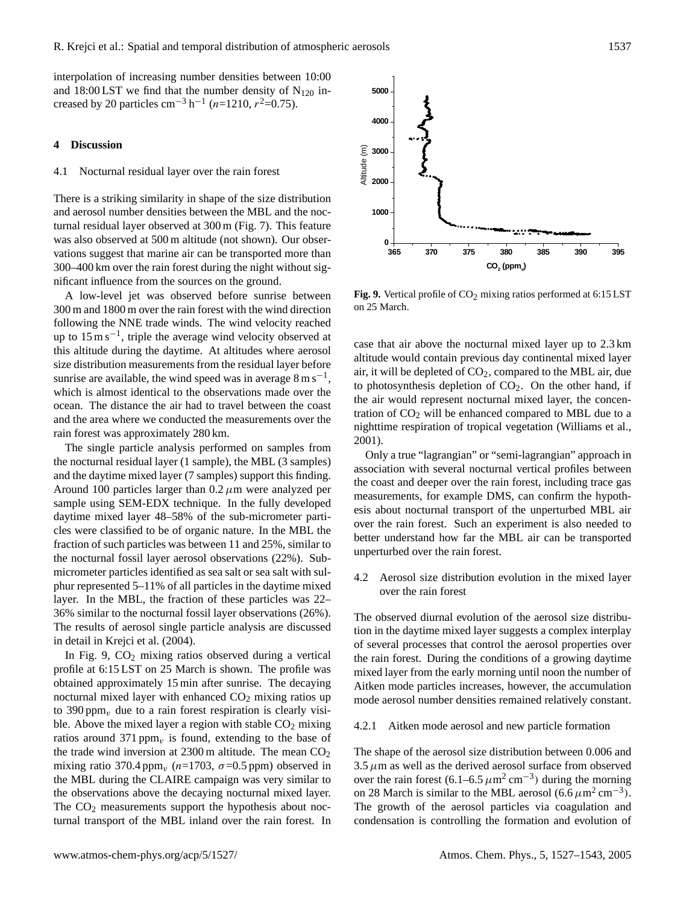interpolation of increasing number densities between 10:00 and 18:00 LST we find that the number density of  $N_{120}$  increased by 20 particles cm<sup>-3</sup> h<sup>-1</sup> (n=1210, r<sup>2</sup>=0.75).

## **4 Discussion**

# 4.1 Nocturnal residual layer over the rain forest

There is a striking similarity in shape of the size distribution and aerosol number densities between the MBL and the nocturnal residual layer observed at 300 m (Fig. 7). This feature was also observed at 500 m altitude (not shown). Our observations suggest that marine air can be transported more than 300–400 km over the rain forest during the night without significant influence from the sources on the ground.

A low-level jet was observed before sunrise between 300 m and 1800 m over the rain forest with the wind direction following the NNE trade winds. The wind velocity reached up to  $15 \text{ m s}^{-1}$ , triple the average wind velocity observed at this altitude during the daytime. At altitudes where aerosol size distribution measurements from the residual layer before sunrise are available, the wind speed was in average  $8 \text{ m s}^{-1}$ , which is almost identical to the observations made over the ocean. The distance the air had to travel between the coast and the area where we conducted the measurements over the rain forest was approximately 280 km.

The single particle analysis performed on samples from the nocturnal residual layer (1 sample), the MBL (3 samples) and the daytime mixed layer (7 samples) support this finding. Around 100 particles larger than  $0.2 \mu$ m were analyzed per sample using SEM-EDX technique. In the fully developed daytime mixed layer 48–58% of the sub-micrometer particles were classified to be of organic nature. In the MBL the fraction of such particles was between 11 and 25%, similar to the nocturnal fossil layer aerosol observations (22%). Submicrometer particles identified as sea salt or sea salt with sulphur represented 5–11% of all particles in the daytime mixed layer. In the MBL, the fraction of these particles was 22– 36% similar to the nocturnal fossil layer observations (26%). The results of aerosol single particle analysis are discussed in detail in Krejci et al. (2004).

In Fig. 9,  $CO<sub>2</sub>$  mixing ratios observed during a vertical profile at 6:15 LST on 25 March is shown. The profile was obtained approximately 15 min after sunrise. The decaying nocturnal mixed layer with enhanced  $CO<sub>2</sub>$  mixing ratios up to 390 ppm<sub>v</sub> due to a rain forest respiration is clearly visible. Above the mixed layer a region with stable  $CO<sub>2</sub>$  mixing ratios around 371 ppm<sub>v</sub> is found, extending to the base of the trade wind inversion at  $2300 \text{ m}$  altitude. The mean  $CO<sub>2</sub>$ mixing ratio 370.4 ppm<sub>v</sub>  $(n=1703, \sigma=0.5)$  ppm) observed in the MBL during the CLAIRE campaign was very similar to the observations above the decaying nocturnal mixed layer. The  $CO<sub>2</sub>$  measurements support the hypothesis about nocturnal transport of the MBL inland over the rain forest. In



on 25 March. Fig. 9. Vertical profile of CO<sub>2</sub> mixing ratios performed at 6:15 LST

case that air above the nocturnal mixed layer up to 2.3 km altitude would contain previous day continental mixed layer air, it will be depleted of  $CO<sub>2</sub>$ , compared to the MBL air, due to photosynthesis depletion of  $CO<sub>2</sub>$ . On the other hand, if the air would represent nocturnal mixed layer, the concentration of  $CO<sub>2</sub>$  will be enhanced compared to MBL due to a nighttime respiration of tropical vegetation (Williams et al., 2001).

Only a true "lagrangian" or "semi-lagrangian" approach in association with several nocturnal vertical profiles between the coast and deeper over the rain forest, including trace gas measurements, for example DMS, can confirm the hypothesis about nocturnal transport of the unperturbed MBL air over the rain forest. Such an experiment is also needed to better understand how far the MBL air can be transported unperturbed over the rain forest.

4.2 Aerosol size distribution evolution in the mixed layer over the rain forest

The observed diurnal evolution of the aerosol size distribution in the daytime mixed layer suggests a complex interplay of several processes that control the aerosol properties over the rain forest. During the conditions of a growing daytime mixed layer from the early morning until noon the number of Aitken mode particles increases, however, the accumulation mode aerosol number densities remained relatively constant.

#### 4.2.1 Aitken mode aerosol and new particle formation

The shape of the aerosol size distribution between 0.006 and  $3.5 \mu$ m as well as the derived aerosol surface from observed over the rain forest  $(6.1 - 6.5 \mu m^2 cm^{-3})$  during the morning on 28 March is similar to the MBL aerosol  $(6.6 \mu m^2 cm^{-3})$ . The growth of the aerosol particles via coagulation and condensation is controlling the formation and evolution of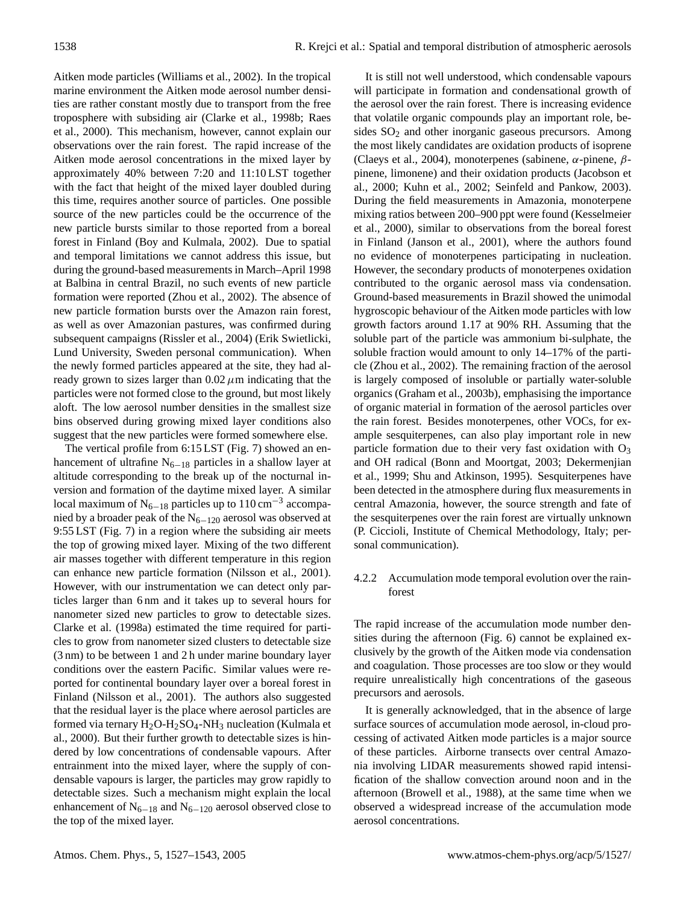Aitken mode particles (Williams et al., 2002). In the tropical marine environment the Aitken mode aerosol number densities are rather constant mostly due to transport from the free troposphere with subsiding air (Clarke et al., 1998b; Raes et al., 2000). This mechanism, however, cannot explain our observations over the rain forest. The rapid increase of the Aitken mode aerosol concentrations in the mixed layer by approximately 40% between 7:20 and 11:10 LST together with the fact that height of the mixed layer doubled during this time, requires another source of particles. One possible source of the new particles could be the occurrence of the new particle bursts similar to those reported from a boreal forest in Finland (Boy and Kulmala, 2002). Due to spatial and temporal limitations we cannot address this issue, but during the ground-based measurements in March–April 1998 at Balbina in central Brazil, no such events of new particle formation were reported (Zhou et al., 2002). The absence of new particle formation bursts over the Amazon rain forest, as well as over Amazonian pastures, was confirmed during subsequent campaigns (Rissler et al., 2004) (Erik Swietlicki, Lund University, Sweden personal communication). When the newly formed particles appeared at the site, they had already grown to sizes larger than  $0.02 \mu m$  indicating that the particles were not formed close to the ground, but most likely aloft. The low aerosol number densities in the smallest size bins observed during growing mixed layer conditions also suggest that the new particles were formed somewhere else.

The vertical profile from 6:15 LST (Fig. 7) showed an enhancement of ultrafine  $N_{6-18}$  particles in a shallow layer at altitude corresponding to the break up of the nocturnal inversion and formation of the daytime mixed layer. A similar local maximum of  $N_{6-18}$  particles up to 110 cm<sup>-3</sup> accompanied by a broader peak of the  $N_{6-120}$  aerosol was observed at 9:55 LST (Fig. 7) in a region where the subsiding air meets the top of growing mixed layer. Mixing of the two different air masses together with different temperature in this region can enhance new particle formation (Nilsson et al., 2001). However, with our instrumentation we can detect only particles larger than 6 nm and it takes up to several hours for nanometer sized new particles to grow to detectable sizes. Clarke et al. (1998a) estimated the time required for particles to grow from nanometer sized clusters to detectable size (3 nm) to be between 1 and 2 h under marine boundary layer conditions over the eastern Pacific. Similar values were reported for continental boundary layer over a boreal forest in Finland (Nilsson et al., 2001). The authors also suggested that the residual layer is the place where aerosol particles are formed via ternary  $H_2O-H_2SO_4-NH_3$  nucleation (Kulmala et al., 2000). But their further growth to detectable sizes is hindered by low concentrations of condensable vapours. After entrainment into the mixed layer, where the supply of condensable vapours is larger, the particles may grow rapidly to detectable sizes. Such a mechanism might explain the local enhancement of  $N_{6-18}$  and  $N_{6-120}$  aerosol observed close to the top of the mixed layer.

It is still not well understood, which condensable vapours will participate in formation and condensational growth of the aerosol over the rain forest. There is increasing evidence that volatile organic compounds play an important role, besides  $SO<sub>2</sub>$  and other inorganic gaseous precursors. Among the most likely candidates are oxidation products of isoprene (Claeys et al., 2004), monoterpenes (sabinene,  $\alpha$ -pinene,  $\beta$ pinene, limonene) and their oxidation products (Jacobson et al., 2000; Kuhn et al., 2002; Seinfeld and Pankow, 2003). During the field measurements in Amazonia, monoterpene mixing ratios between 200–900 ppt were found (Kesselmeier et al., 2000), similar to observations from the boreal forest in Finland (Janson et al., 2001), where the authors found no evidence of monoterpenes participating in nucleation. However, the secondary products of monoterpenes oxidation contributed to the organic aerosol mass via condensation. Ground-based measurements in Brazil showed the unimodal hygroscopic behaviour of the Aitken mode particles with low growth factors around 1.17 at 90% RH. Assuming that the soluble part of the particle was ammonium bi-sulphate, the soluble fraction would amount to only 14–17% of the particle (Zhou et al., 2002). The remaining fraction of the aerosol is largely composed of insoluble or partially water-soluble organics (Graham et al., 2003b), emphasising the importance of organic material in formation of the aerosol particles over the rain forest. Besides monoterpenes, other VOCs, for example sesquiterpenes, can also play important role in new particle formation due to their very fast oxidation with  $O_3$ and OH radical (Bonn and Moortgat, 2003; Dekermenjian et al., 1999; Shu and Atkinson, 1995). Sesquiterpenes have been detected in the atmosphere during flux measurements in central Amazonia, however, the source strength and fate of the sesquiterpenes over the rain forest are virtually unknown (P. Ciccioli, Institute of Chemical Methodology, Italy; personal communication).

4.2.2 Accumulation mode temporal evolution over the rainforest

The rapid increase of the accumulation mode number densities during the afternoon (Fig. 6) cannot be explained exclusively by the growth of the Aitken mode via condensation and coagulation. Those processes are too slow or they would require unrealistically high concentrations of the gaseous precursors and aerosols.

It is generally acknowledged, that in the absence of large surface sources of accumulation mode aerosol, in-cloud processing of activated Aitken mode particles is a major source of these particles. Airborne transects over central Amazonia involving LIDAR measurements showed rapid intensification of the shallow convection around noon and in the afternoon (Browell et al., 1988), at the same time when we observed a widespread increase of the accumulation mode aerosol concentrations.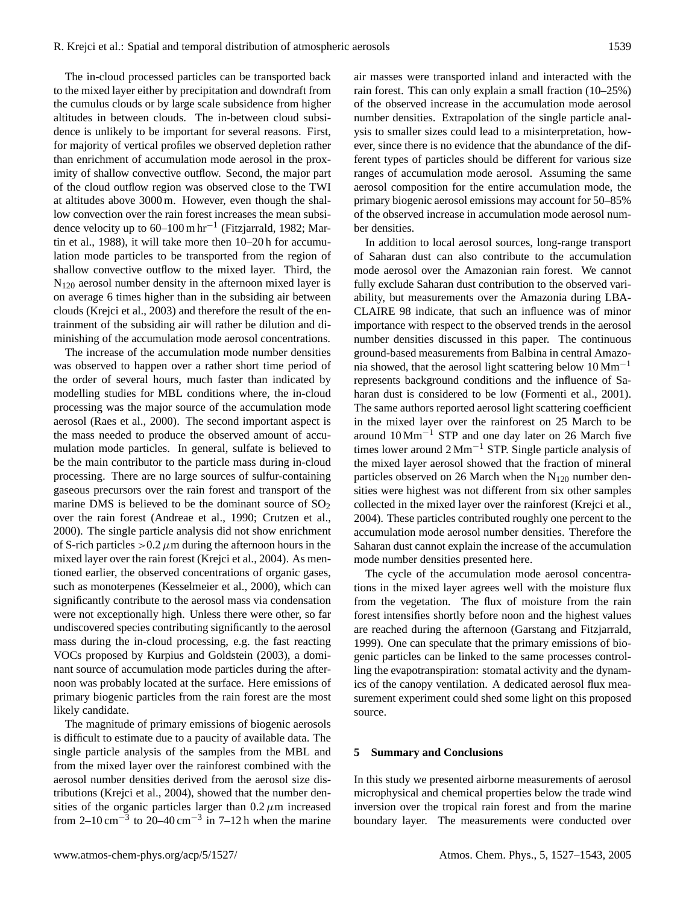The in-cloud processed particles can be transported back to the mixed layer either by precipitation and downdraft from the cumulus clouds or by large scale subsidence from higher altitudes in between clouds. The in-between cloud subsidence is unlikely to be important for several reasons. First, for majority of vertical profiles we observed depletion rather than enrichment of accumulation mode aerosol in the proximity of shallow convective outflow. Second, the major part of the cloud outflow region was observed close to the TWI at altitudes above 3000 m. However, even though the shallow convection over the rain forest increases the mean subsidence velocity up to  $60-100$  m hr<sup>-1</sup> (Fitzjarrald, 1982; Martin et al., 1988), it will take more then 10–20 h for accumulation mode particles to be transported from the region of shallow convective outflow to the mixed layer. Third, the  $N_{120}$  aerosol number density in the afternoon mixed layer is on average 6 times higher than in the subsiding air between clouds (Krejci et al., 2003) and therefore the result of the entrainment of the subsiding air will rather be dilution and diminishing of the accumulation mode aerosol concentrations.

The increase of the accumulation mode number densities was observed to happen over a rather short time period of the order of several hours, much faster than indicated by modelling studies for MBL conditions where, the in-cloud processing was the major source of the accumulation mode aerosol (Raes et al., 2000). The second important aspect is the mass needed to produce the observed amount of accumulation mode particles. In general, sulfate is believed to be the main contributor to the particle mass during in-cloud processing. There are no large sources of sulfur-containing gaseous precursors over the rain forest and transport of the marine DMS is believed to be the dominant source of  $SO<sub>2</sub>$ over the rain forest (Andreae et al., 1990; Crutzen et al., 2000). The single particle analysis did not show enrichment of S-rich particles  $> 0.2 \mu$ m during the afternoon hours in the mixed layer over the rain forest (Krejci et al., 2004). As mentioned earlier, the observed concentrations of organic gases, such as monoterpenes (Kesselmeier et al., 2000), which can significantly contribute to the aerosol mass via condensation were not exceptionally high. Unless there were other, so far undiscovered species contributing significantly to the aerosol mass during the in-cloud processing, e.g. the fast reacting VOCs proposed by Kurpius and Goldstein (2003), a dominant source of accumulation mode particles during the afternoon was probably located at the surface. Here emissions of primary biogenic particles from the rain forest are the most likely candidate.

The magnitude of primary emissions of biogenic aerosols is difficult to estimate due to a paucity of available data. The single particle analysis of the samples from the MBL and from the mixed layer over the rainforest combined with the aerosol number densities derived from the aerosol size distributions (Krejci et al., 2004), showed that the number densities of the organic particles larger than  $0.2 \mu$ m increased from 2–10 cm<sup>-3</sup> to 20–40 cm<sup>-3</sup> in 7–12 h when the marine

air masses were transported inland and interacted with the rain forest. This can only explain a small fraction (10–25%) of the observed increase in the accumulation mode aerosol number densities. Extrapolation of the single particle analysis to smaller sizes could lead to a misinterpretation, however, since there is no evidence that the abundance of the different types of particles should be different for various size ranges of accumulation mode aerosol. Assuming the same aerosol composition for the entire accumulation mode, the primary biogenic aerosol emissions may account for 50–85% of the observed increase in accumulation mode aerosol number densities.

In addition to local aerosol sources, long-range transport of Saharan dust can also contribute to the accumulation mode aerosol over the Amazonian rain forest. We cannot fully exclude Saharan dust contribution to the observed variability, but measurements over the Amazonia during LBA-CLAIRE 98 indicate, that such an influence was of minor importance with respect to the observed trends in the aerosol number densities discussed in this paper. The continuous ground-based measurements from Balbina in central Amazonia showed, that the aerosol light scattering below 10 Mm−<sup>1</sup> represents background conditions and the influence of Saharan dust is considered to be low (Formenti et al., 2001). The same authors reported aerosol light scattering coefficient in the mixed layer over the rainforest on 25 March to be around  $10 \text{ Mm}^{-1}$  STP and one day later on 26 March five times lower around  $2 \text{ Mm}^{-1}$  STP. Single particle analysis of the mixed layer aerosol showed that the fraction of mineral particles observed on 26 March when the  $N_{120}$  number densities were highest was not different from six other samples collected in the mixed layer over the rainforest (Krejci et al., 2004). These particles contributed roughly one percent to the accumulation mode aerosol number densities. Therefore the Saharan dust cannot explain the increase of the accumulation mode number densities presented here.

The cycle of the accumulation mode aerosol concentrations in the mixed layer agrees well with the moisture flux from the vegetation. The flux of moisture from the rain forest intensifies shortly before noon and the highest values are reached during the afternoon (Garstang and Fitzjarrald, 1999). One can speculate that the primary emissions of biogenic particles can be linked to the same processes controlling the evapotranspiration: stomatal activity and the dynamics of the canopy ventilation. A dedicated aerosol flux measurement experiment could shed some light on this proposed source.

#### **5 Summary and Conclusions**

In this study we presented airborne measurements of aerosol microphysical and chemical properties below the trade wind inversion over the tropical rain forest and from the marine boundary layer. The measurements were conducted over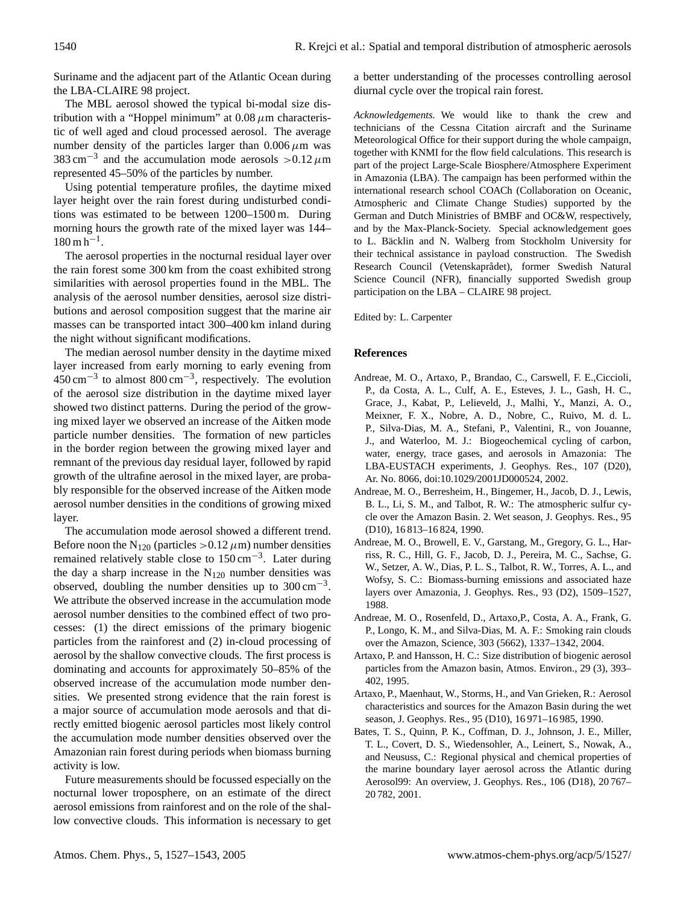Suriname and the adjacent part of the Atlantic Ocean during the LBA-CLAIRE 98 project.

The MBL aerosol showed the typical bi-modal size distribution with a "Hoppel minimum" at  $0.08 \mu$ m characteristic of well aged and cloud processed aerosol. The average number density of the particles larger than  $0.006 \mu m$  was 383 cm<sup>-3</sup> and the accumulation mode aerosols >0.12  $\mu$ m represented 45–50% of the particles by number.

Using potential temperature profiles, the daytime mixed layer height over the rain forest during undisturbed conditions was estimated to be between 1200–1500 m. During morning hours the growth rate of the mixed layer was 144–  $180 \,\mathrm{m}\,\mathrm{h}^{-1}$ .

The aerosol properties in the nocturnal residual layer over the rain forest some 300 km from the coast exhibited strong similarities with aerosol properties found in the MBL. The analysis of the aerosol number densities, aerosol size distributions and aerosol composition suggest that the marine air masses can be transported intact 300–400 km inland during the night without significant modifications.

The median aerosol number density in the daytime mixed layer increased from early morning to early evening from  $450 \text{ cm}^{-3}$  to almost  $800 \text{ cm}^{-3}$ , respectively. The evolution of the aerosol size distribution in the daytime mixed layer showed two distinct patterns. During the period of the growing mixed layer we observed an increase of the Aitken mode particle number densities. The formation of new particles in the border region between the growing mixed layer and remnant of the previous day residual layer, followed by rapid growth of the ultrafine aerosol in the mixed layer, are probably responsible for the observed increase of the Aitken mode aerosol number densities in the conditions of growing mixed layer.

The accumulation mode aerosol showed a different trend. Before noon the N<sub>120</sub> (particles  $> 0.12 \mu$ m) number densities remained relatively stable close to  $150 \text{ cm}^{-3}$ . Later during the day a sharp increase in the  $N_{120}$  number densities was observed, doubling the number densities up to  $300 \text{ cm}^{-3}$ . We attribute the observed increase in the accumulation mode aerosol number densities to the combined effect of two processes: (1) the direct emissions of the primary biogenic particles from the rainforest and (2) in-cloud processing of aerosol by the shallow convective clouds. The first process is dominating and accounts for approximately 50–85% of the observed increase of the accumulation mode number densities. We presented strong evidence that the rain forest is a major source of accumulation mode aerosols and that directly emitted biogenic aerosol particles most likely control the accumulation mode number densities observed over the Amazonian rain forest during periods when biomass burning activity is low.

Future measurements should be focussed especially on the nocturnal lower troposphere, on an estimate of the direct aerosol emissions from rainforest and on the role of the shallow convective clouds. This information is necessary to get

a better understanding of the processes controlling aerosol diurnal cycle over the tropical rain forest.

*Acknowledgements.* We would like to thank the crew and technicians of the Cessna Citation aircraft and the Suriname Meteorological Office for their support during the whole campaign, together with KNMI for the flow field calculations. This research is part of the project Large-Scale Biosphere/Atmosphere Experiment in Amazonia (LBA). The campaign has been performed within the international research school COACh (Collaboration on Oceanic, Atmospheric and Climate Change Studies) supported by the German and Dutch Ministries of BMBF and OC&W, respectively, and by the Max-Planck-Society. Special acknowledgement goes to L. Bäcklin and N. Walberg from Stockholm University for their technical assistance in payload construction. The Swedish Research Council (Vetenskaprådet), former Swedish Natural Science Council (NFR), financially supported Swedish group participation on the LBA – CLAIRE 98 project.

Edited by: L. Carpenter

### **References**

- Andreae, M. O., Artaxo, P., Brandao, C., Carswell, F. E.,Ciccioli, P., da Costa, A. L., Culf, A. E., Esteves, J. L., Gash, H. C., Grace, J., Kabat, P., Lelieveld, J., Malhi, Y., Manzi, A. O., Meixner, F. X., Nobre, A. D., Nobre, C., Ruivo, M. d. L. P., Silva-Dias, M. A., Stefani, P., Valentini, R., von Jouanne, J., and Waterloo, M. J.: Biogeochemical cycling of carbon, water, energy, trace gases, and aerosols in Amazonia: The LBA-EUSTACH experiments, J. Geophys. Res., 107 (D20), Ar. No. 8066, doi:10.1029/2001JD000524, 2002.
- Andreae, M. O., Berresheim, H., Bingemer, H., Jacob, D. J., Lewis, B. L., Li, S. M., and Talbot, R. W.: The atmospheric sulfur cycle over the Amazon Basin. 2. Wet season, J. Geophys. Res., 95 (D10), 16 813–16 824, 1990.
- Andreae, M. O., Browell, E. V., Garstang, M., Gregory, G. L., Harriss, R. C., Hill, G. F., Jacob, D. J., Pereira, M. C., Sachse, G. W., Setzer, A. W., Dias, P. L. S., Talbot, R. W., Torres, A. L., and Wofsy, S. C.: Biomass-burning emissions and associated haze layers over Amazonia, J. Geophys. Res., 93 (D2), 1509–1527, 1988.
- Andreae, M. O., Rosenfeld, D., Artaxo,P., Costa, A. A., Frank, G. P., Longo, K. M., and Silva-Dias, M. A. F.: Smoking rain clouds over the Amazon, Science, 303 (5662), 1337–1342, 2004.
- Artaxo, P. and Hansson, H. C.: Size distribution of biogenic aerosol particles from the Amazon basin, Atmos. Environ., 29 (3), 393– 402, 1995.
- Artaxo, P., Maenhaut, W., Storms, H., and Van Grieken, R.: Aerosol characteristics and sources for the Amazon Basin during the wet season, J. Geophys. Res., 95 (D10), 16 971–16 985, 1990.
- Bates, T. S., Quinn, P. K., Coffman, D. J., Johnson, J. E., Miller, T. L., Covert, D. S., Wiedensohler, A., Leinert, S., Nowak, A., and Neususs, C.: Regional physical and chemical properties of the marine boundary layer aerosol across the Atlantic during Aerosol99: An overview, J. Geophys. Res., 106 (D18), 20 767– 20 782, 2001.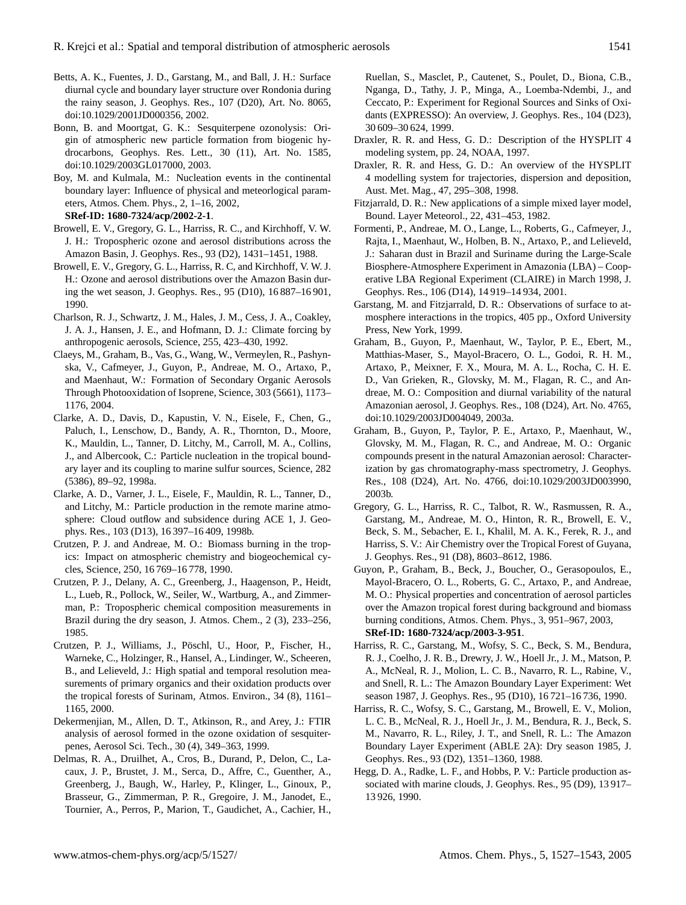- Betts, A. K., Fuentes, J. D., Garstang, M., and Ball, J. H.: Surface diurnal cycle and boundary layer structure over Rondonia during the rainy season, J. Geophys. Res., 107 (D20), Art. No. 8065, doi:10.1029/2001JD000356, 2002.
- Bonn, B. and Moortgat, G. K.: Sesquiterpene ozonolysis: Origin of atmospheric new particle formation from biogenic hydrocarbons, Geophys. Res. Lett., 30 (11), Art. No. 1585, doi:10.1029/2003GL017000, 2003.
- Boy, M. and Kulmala, M.: Nucleation events in the continental boundary layer: Influence of physical and meteorlogical parameters, Atmos. Chem. Phys., 2, 1–16, 2002,
	- **[SRef-ID: 1680-7324/acp/2002-2-1](http://direct.sref.org/1680-7324/acp/2002-2-1)**.
- Browell, E. V., Gregory, G. L., Harriss, R. C., and Kirchhoff, V. W. J. H.: Tropospheric ozone and aerosol distributions across the Amazon Basin, J. Geophys. Res., 93 (D2), 1431–1451, 1988.
- Browell, E. V., Gregory, G. L., Harriss, R. C, and Kirchhoff, V. W. J. H.: Ozone and aerosol distributions over the Amazon Basin during the wet season, J. Geophys. Res., 95 (D10), 16 887–16 901, 1990.
- Charlson, R. J., Schwartz, J. M., Hales, J. M., Cess, J. A., Coakley, J. A. J., Hansen, J. E., and Hofmann, D. J.: Climate forcing by anthropogenic aerosols, Science, 255, 423–430, 1992.
- Claeys, M., Graham, B., Vas, G., Wang, W., Vermeylen, R., Pashynska, V., Cafmeyer, J., Guyon, P., Andreae, M. O., Artaxo, P., and Maenhaut, W.: Formation of Secondary Organic Aerosols Through Photooxidation of Isoprene, Science, 303 (5661), 1173– 1176, 2004.
- Clarke, A. D., Davis, D., Kapustin, V. N., Eisele, F., Chen, G., Paluch, I., Lenschow, D., Bandy, A. R., Thornton, D., Moore, K., Mauldin, L., Tanner, D. Litchy, M., Carroll, M. A., Collins, J., and Albercook, C.: Particle nucleation in the tropical boundary layer and its coupling to marine sulfur sources, Science, 282 (5386), 89–92, 1998a.
- Clarke, A. D., Varner, J. L., Eisele, F., Mauldin, R. L., Tanner, D., and Litchy, M.: Particle production in the remote marine atmosphere: Cloud outflow and subsidence during ACE 1, J. Geophys. Res., 103 (D13), 16 397–16 409, 1998b.
- Crutzen, P. J. and Andreae, M. O.: Biomass burning in the tropics: Impact on atmospheric chemistry and biogeochemical cycles, Science, 250, 16 769–16 778, 1990.
- Crutzen, P. J., Delany, A. C., Greenberg, J., Haagenson, P., Heidt, L., Lueb, R., Pollock, W., Seiler, W., Wartburg, A., and Zimmerman, P.: Tropospheric chemical composition measurements in Brazil during the dry season, J. Atmos. Chem., 2 (3), 233–256, 1985.
- Crutzen, P. J., Williams, J., Pöschl, U., Hoor, P., Fischer, H., Warneke, C., Holzinger, R., Hansel, A., Lindinger, W., Scheeren, B., and Lelieveld, J.: High spatial and temporal resolution measurements of primary organics and their oxidation products over the tropical forests of Surinam, Atmos. Environ., 34 (8), 1161– 1165, 2000.
- Dekermenjian, M., Allen, D. T., Atkinson, R., and Arey, J.: FTIR analysis of aerosol formed in the ozone oxidation of sesquiterpenes, Aerosol Sci. Tech., 30 (4), 349–363, 1999.
- Delmas, R. A., Druilhet, A., Cros, B., Durand, P., Delon, C., Lacaux, J. P., Brustet, J. M., Serca, D., Affre, C., Guenther, A., Greenberg, J., Baugh, W., Harley, P., Klinger, L., Ginoux, P., Brasseur, G., Zimmerman, P. R., Gregoire, J. M., Janodet, E., Tournier, A., Perros, P., Marion, T., Gaudichet, A., Cachier, H.,

Ruellan, S., Masclet, P., Cautenet, S., Poulet, D., Biona, C.B., Nganga, D., Tathy, J. P., Minga, A., Loemba-Ndembi, J., and Ceccato, P.: Experiment for Regional Sources and Sinks of Oxidants (EXPRESSO): An overview, J. Geophys. Res., 104 (D23), 30 609–30 624, 1999.

- Draxler, R. R. and Hess, G. D.: Description of the HYSPLIT 4 modeling system, pp. 24, NOAA, 1997.
- Draxler, R. R. and Hess, G. D.: An overview of the HYSPLIT 4 modelling system for trajectories, dispersion and deposition, Aust. Met. Mag., 47, 295–308, 1998.
- Fitzjarrald, D. R.: New applications of a simple mixed layer model, Bound. Layer Meteorol., 22, 431–453, 1982.
- Formenti, P., Andreae, M. O., Lange, L., Roberts, G., Cafmeyer, J., Rajta, I., Maenhaut, W., Holben, B. N., Artaxo, P., and Lelieveld, J.: Saharan dust in Brazil and Suriname during the Large-Scale Biosphere-Atmosphere Experiment in Amazonia (LBA) – Cooperative LBA Regional Experiment (CLAIRE) in March 1998, J. Geophys. Res., 106 (D14), 14 919–14 934, 2001.
- Garstang, M. and Fitzjarrald, D. R.: Observations of surface to atmosphere interactions in the tropics, 405 pp., Oxford University Press, New York, 1999.
- Graham, B., Guyon, P., Maenhaut, W., Taylor, P. E., Ebert, M., Matthias-Maser, S., Mayol-Bracero, O. L., Godoi, R. H. M., Artaxo, P., Meixner, F. X., Moura, M. A. L., Rocha, C. H. E. D., Van Grieken, R., Glovsky, M. M., Flagan, R. C., and Andreae, M. O.: Composition and diurnal variability of the natural Amazonian aerosol, J. Geophys. Res., 108 (D24), Art. No. 4765, doi:10.1029/2003JD004049, 2003a.
- Graham, B., Guyon, P., Taylor, P. E., Artaxo, P., Maenhaut, W., Glovsky, M. M., Flagan, R. C., and Andreae, M. O.: Organic compounds present in the natural Amazonian aerosol: Characterization by gas chromatography-mass spectrometry, J. Geophys. Res., 108 (D24), Art. No. 4766, doi:10.1029/2003JD003990, 2003b.
- Gregory, G. L., Harriss, R. C., Talbot, R. W., Rasmussen, R. A., Garstang, M., Andreae, M. O., Hinton, R. R., Browell, E. V., Beck, S. M., Sebacher, E. I., Khalil, M. A. K., Ferek, R. J., and Harriss, S. V.: Air Chemistry over the Tropical Forest of Guyana, J. Geophys. Res., 91 (D8), 8603–8612, 1986.
- Guyon, P., Graham, B., Beck, J., Boucher, O., Gerasopoulos, E., Mayol-Bracero, O. L., Roberts, G. C., Artaxo, P., and Andreae, M. O.: Physical properties and concentration of aerosol particles over the Amazon tropical forest during background and biomass burning conditions, Atmos. Chem. Phys., 3, 951–967, 2003, **[SRef-ID: 1680-7324/acp/2003-3-951](http://direct.sref.org/1680-7324/acp/2003-3-951)**.
- Harriss, R. C., Garstang, M., Wofsy, S. C., Beck, S. M., Bendura, R. J., Coelho, J. R. B., Drewry, J. W., Hoell Jr., J. M., Matson, P. A., McNeal, R. J., Molion, L. C. B., Navarro, R. L., Rabine, V., and Snell, R. L.: The Amazon Boundary Layer Experiment: Wet season 1987, J. Geophys. Res., 95 (D10), 16 721–16 736, 1990.
- Harriss, R. C., Wofsy, S. C., Garstang, M., Browell, E. V., Molion, L. C. B., McNeal, R. J., Hoell Jr., J. M., Bendura, R. J., Beck, S. M., Navarro, R. L., Riley, J. T., and Snell, R. L.: The Amazon Boundary Layer Experiment (ABLE 2A): Dry season 1985, J. Geophys. Res., 93 (D2), 1351–1360, 1988.
- Hegg, D. A., Radke, L. F., and Hobbs, P. V.: Particle production associated with marine clouds, J. Geophys. Res., 95 (D9), 13 917– 13 926, 1990.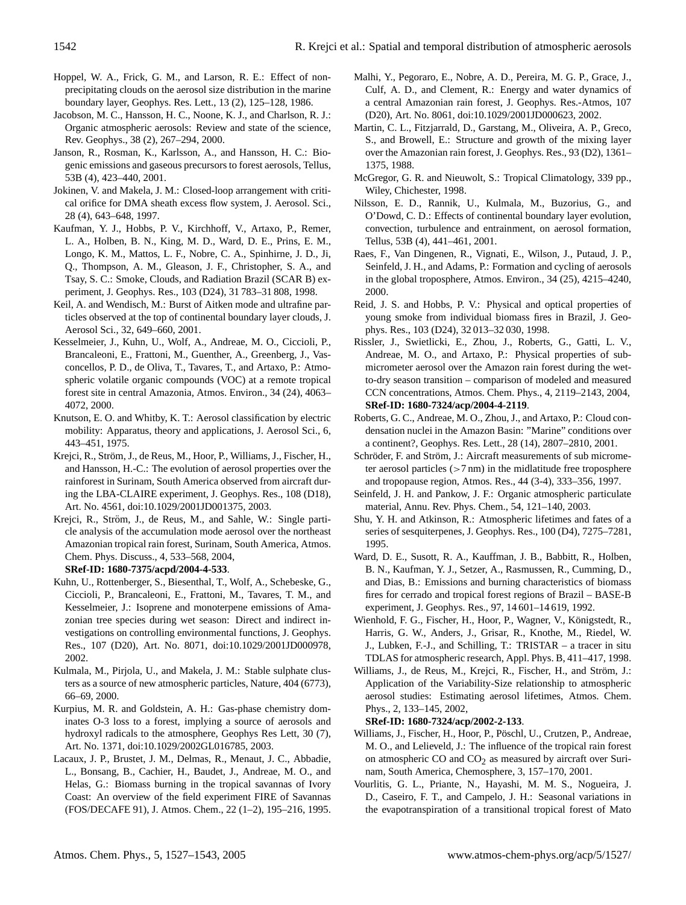- Hoppel, W. A., Frick, G. M., and Larson, R. E.: Effect of nonprecipitating clouds on the aerosol size distribution in the marine boundary layer, Geophys. Res. Lett., 13 (2), 125–128, 1986.
- Jacobson, M. C., Hansson, H. C., Noone, K. J., and Charlson, R. J.: Organic atmospheric aerosols: Review and state of the science, Rev. Geophys., 38 (2), 267–294, 2000.
- Janson, R., Rosman, K., Karlsson, A., and Hansson, H. C.: Biogenic emissions and gaseous precursors to forest aerosols, Tellus, 53B (4), 423–440, 2001.
- Jokinen, V. and Makela, J. M.: Closed-loop arrangement with critical orifice for DMA sheath excess flow system, J. Aerosol. Sci., 28 (4), 643–648, 1997.
- Kaufman, Y. J., Hobbs, P. V., Kirchhoff, V., Artaxo, P., Remer, L. A., Holben, B. N., King, M. D., Ward, D. E., Prins, E. M., Longo, K. M., Mattos, L. F., Nobre, C. A., Spinhirne, J. D., Ji, Q., Thompson, A. M., Gleason, J. F., Christopher, S. A., and Tsay, S. C.: Smoke, Clouds, and Radiation Brazil (SCAR B) experiment, J. Geophys. Res., 103 (D24), 31 783–31 808, 1998.
- Keil, A. and Wendisch, M.: Burst of Aitken mode and ultrafine particles observed at the top of continental boundary layer clouds, J. Aerosol Sci., 32, 649–660, 2001.
- Kesselmeier, J., Kuhn, U., Wolf, A., Andreae, M. O., Ciccioli, P., Brancaleoni, E., Frattoni, M., Guenther, A., Greenberg, J., Vasconcellos, P. D., de Oliva, T., Tavares, T., and Artaxo, P.: Atmospheric volatile organic compounds (VOC) at a remote tropical forest site in central Amazonia, Atmos. Environ., 34 (24), 4063– 4072, 2000.
- Knutson, E. O. and Whitby, K. T.: Aerosol classification by electric mobility: Apparatus, theory and applications, J. Aerosol Sci., 6, 443–451, 1975.
- Krejci, R., Ström, J., de Reus, M., Hoor, P., Williams, J., Fischer, H., and Hansson, H.-C.: The evolution of aerosol properties over the rainforest in Surinam, South America observed from aircraft during the LBA-CLAIRE experiment, J. Geophys. Res., 108 (D18), Art. No. 4561, doi:10.1029/2001JD001375, 2003.
- Krejci, R., Ström, J., de Reus, M., and Sahle, W.: Single particle analysis of the accumulation mode aerosol over the northeast Amazonian tropical rain forest, Surinam, South America, Atmos. Chem. Phys. Discuss., 4, 533–568, 2004,

**[SRef-ID: 1680-7375/acpd/2004-4-533](http://direct.sref.org/1680-7375/acpd/2004-4-533)**.

- Kuhn, U., Rottenberger, S., Biesenthal, T., Wolf, A., Schebeske, G., Ciccioli, P., Brancaleoni, E., Frattoni, M., Tavares, T. M., and Kesselmeier, J.: Isoprene and monoterpene emissions of Amazonian tree species during wet season: Direct and indirect investigations on controlling environmental functions, J. Geophys. Res., 107 (D20), Art. No. 8071, doi:10.1029/2001JD000978, 2002.
- Kulmala, M., Pirjola, U., and Makela, J. M.: Stable sulphate clusters as a source of new atmospheric particles, Nature, 404 (6773), 66–69, 2000.
- Kurpius, M. R. and Goldstein, A. H.: Gas-phase chemistry dominates O-3 loss to a forest, implying a source of aerosols and hydroxyl radicals to the atmosphere, Geophys Res Lett, 30 (7), Art. No. 1371, doi:10.1029/2002GL016785, 2003.
- Lacaux, J. P., Brustet, J. M., Delmas, R., Menaut, J. C., Abbadie, L., Bonsang, B., Cachier, H., Baudet, J., Andreae, M. O., and Helas, G.: Biomass burning in the tropical savannas of Ivory Coast: An overview of the field experiment FIRE of Savannas (FOS/DECAFE 91), J. Atmos. Chem., 22 (1–2), 195–216, 1995.
- Malhi, Y., Pegoraro, E., Nobre, A. D., Pereira, M. G. P., Grace, J., Culf, A. D., and Clement, R.: Energy and water dynamics of a central Amazonian rain forest, J. Geophys. Res.-Atmos, 107 (D20), Art. No. 8061, doi:10.1029/2001JD000623, 2002.
- Martin, C. L., Fitzjarrald, D., Garstang, M., Oliveira, A. P., Greco, S., and Browell, E.: Structure and growth of the mixing layer over the Amazonian rain forest, J. Geophys. Res., 93 (D2), 1361– 1375, 1988.
- McGregor, G. R. and Nieuwolt, S.: Tropical Climatology, 339 pp., Wiley, Chichester, 1998.
- Nilsson, E. D., Rannik, U., Kulmala, M., Buzorius, G., and O'Dowd, C. D.: Effects of continental boundary layer evolution, convection, turbulence and entrainment, on aerosol formation, Tellus, 53B (4), 441–461, 2001.
- Raes, F., Van Dingenen, R., Vignati, E., Wilson, J., Putaud, J. P., Seinfeld, J. H., and Adams, P.: Formation and cycling of aerosols in the global troposphere, Atmos. Environ., 34 (25), 4215–4240, 2000.
- Reid, J. S. and Hobbs, P. V.: Physical and optical properties of young smoke from individual biomass fires in Brazil, J. Geophys. Res., 103 (D24), 32 013–32 030, 1998.
- Rissler, J., Swietlicki, E., Zhou, J., Roberts, G., Gatti, L. V., Andreae, M. O., and Artaxo, P.: Physical properties of submicrometer aerosol over the Amazon rain forest during the wetto-dry season transition – comparison of modeled and measured CCN concentrations, Atmos. Chem. Phys., 4, 2119–2143, 2004, **[SRef-ID: 1680-7324/acp/2004-4-2119](http://direct.sref.org/1680-7324/acp/2004-4-2119)**.
- Roberts, G. C., Andreae, M. O., Zhou, J., and Artaxo, P.: Cloud condensation nuclei in the Amazon Basin: "Marine" conditions over a continent?, Geophys. Res. Lett., 28 (14), 2807–2810, 2001.
- Schröder, F. and Ström, J.: Aircraft measurements of sub micrometer aerosol particles  $(>7 \text{ nm})$  in the midlatitude free troposphere and tropopause region, Atmos. Res., 44 (3-4), 333–356, 1997.
- Seinfeld, J. H. and Pankow, J. F.: Organic atmospheric particulate material, Annu. Rev. Phys. Chem., 54, 121–140, 2003.
- Shu, Y. H. and Atkinson, R.: Atmospheric lifetimes and fates of a series of sesquiterpenes, J. Geophys. Res., 100 (D4), 7275–7281, 1995.
- Ward, D. E., Susott, R. A., Kauffman, J. B., Babbitt, R., Holben, B. N., Kaufman, Y. J., Setzer, A., Rasmussen, R., Cumming, D., and Dias, B.: Emissions and burning characteristics of biomass fires for cerrado and tropical forest regions of Brazil – BASE-B experiment, J. Geophys. Res., 97, 14 601–14 619, 1992.
- Wienhold, F. G., Fischer, H., Hoor, P., Wagner, V., Königstedt, R., Harris, G. W., Anders, J., Grisar, R., Knothe, M., Riedel, W. J., Lubken, F.-J., and Schilling, T.: TRISTAR – a tracer in situ TDLAS for atmospheric research, Appl. Phys. B, 411–417, 1998.
- Williams, J., de Reus, M., Krejci, R., Fischer, H., and Ström, J.: Application of the Variability-Size relationship to atmospheric aerosol studies: Estimating aerosol lifetimes, Atmos. Chem. Phys., 2, 133–145, 2002,

**[SRef-ID: 1680-7324/acp/2002-2-133](http://direct.sref.org/1680-7324/acp/2002-2-133)**.

- Williams, J., Fischer, H., Hoor, P., Pöschl, U., Crutzen, P., Andreae, M. O., and Lelieveld, J.: The influence of the tropical rain forest on atmospheric CO and  $CO<sub>2</sub>$  as measured by aircraft over Surinam, South America, Chemosphere, 3, 157–170, 2001.
- Vourlitis, G. L., Priante, N., Hayashi, M. M. S., Nogueira, J. D., Caseiro, F. T., and Campelo, J. H.: Seasonal variations in the evapotranspiration of a transitional tropical forest of Mato